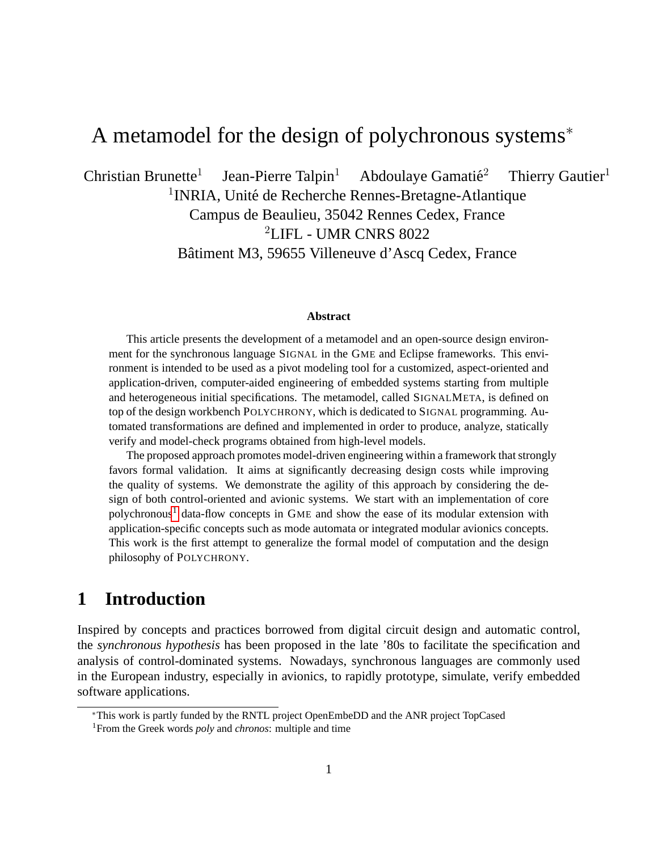# A metamodel for the design of polychronous systems<sup>∗</sup>

Christian Brunette $<sup>1</sup>$ </sup> Jean-Pierre Talpin<sup>1</sup> Abdoulaye Gamati $\acute{e}^2$ Thierry Gautier<sup>1</sup>

<sup>1</sup>INRIA, Unité de Recherche Rennes-Bretagne-Atlantique Campus de Beaulieu, 35042 Rennes Cedex, France <sup>2</sup>LIFL - UMR CNRS 8022 Bâtiment M3, 59655 Villeneuve d'Ascq Cedex, France

#### **Abstract**

This article presents the development of a metamodel and an open-source design environment for the synchronous language SIGNAL in the GME and Eclipse frameworks. This environment is intended to be used as a pivot modeling tool for a customized, aspect-oriented and application-driven, computer-aided engineering of embedded systems starting from multiple and heterogeneous initial specifications. The metamodel, called SIGNALMETA, is defined on top of the design workbench POLYCHRONY, which is dedicated to SIGNAL programming. Automated transformations are defined and implemented in order to produce, analyze, statically verify and model-check programs obtained from high-level models.

The proposed approach promotes model-driven engineering within a framework that strongly favors formal validation. It aims at significantly decreasing design costs while improving the quality of systems. We demonstrate the agility of this approach by considering the design of both control-oriented and avionic systems. We start with an implementation of core polychronous<sup>[1](#page-0-0)</sup> data-flow concepts in GME and show the ease of its modular extension with application-specific concepts such as mode automata or integrated modular avionics concepts. This work is the first attempt to generalize the formal model of computation and the design philosophy of POLYCHRONY.

# **1 Introduction**

Inspired by concepts and practices borrowed from digital circuit design and automatic control, the *synchronous hypothesis* has been proposed in the late '80s to facilitate the specification and analysis of control-dominated systems. Nowadays, synchronous languages are commonly used in the European industry, especially in avionics, to rapidly prototype, simulate, verify embedded software applications.

<sup>∗</sup>This work is partly funded by the RNTL project OpenEmbeDD and the ANR project TopCased

<span id="page-0-0"></span><sup>1</sup>From the Greek words *poly* and *chronos*: multiple and time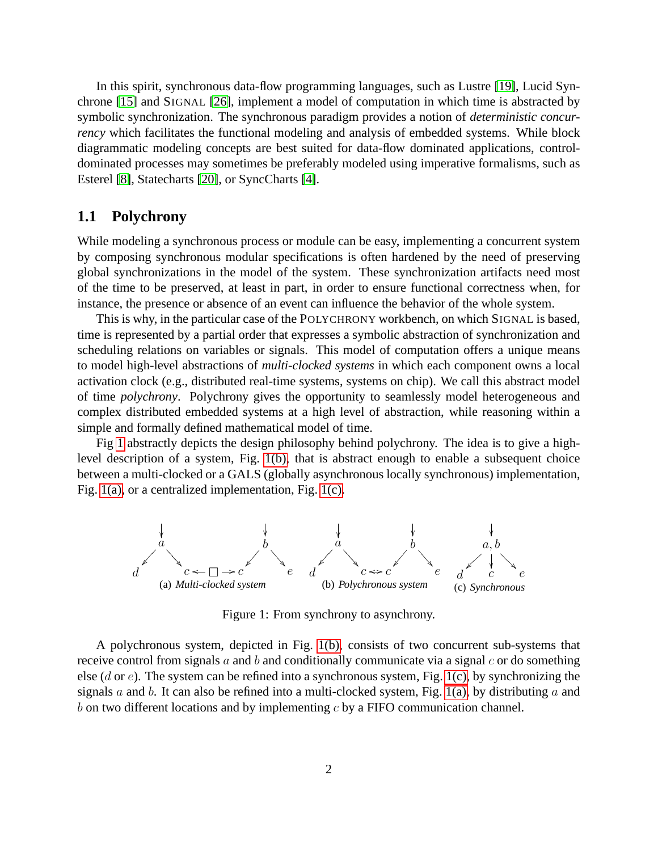In this spirit, synchronous data-flow programming languages, such as Lustre [\[19\]](#page-37-0), Lucid Synchrone [\[15\]](#page-37-1) and SIGNAL [\[26\]](#page-38-0), implement a model of computation in which time is abstracted by symbolic synchronization. The synchronous paradigm provides a notion of *deterministic concurrency* which facilitates the functional modeling and analysis of embedded systems. While block diagrammatic modeling concepts are best suited for data-flow dominated applications, controldominated processes may sometimes be preferably modeled using imperative formalisms, such as Esterel [\[8\]](#page-36-0), Statecharts [\[20\]](#page-37-2), or SyncCharts [\[4\]](#page-36-1).

### <span id="page-1-4"></span>**1.1 Polychrony**

While modeling a synchronous process or module can be easy, implementing a concurrent system by composing synchronous modular specifications is often hardened by the need of preserving global synchronizations in the model of the system. These synchronization artifacts need most of the time to be preserved, at least in part, in order to ensure functional correctness when, for instance, the presence or absence of an event can influence the behavior of the whole system.

This is why, in the particular case of the POLYCHRONY workbench, on which SIGNAL is based, time is represented by a partial order that expresses a symbolic abstraction of synchronization and scheduling relations on variables or signals. This model of computation offers a unique means to model high-level abstractions of *multi-clocked systems* in which each component owns a local activation clock (e.g., distributed real-time systems, systems on chip). We call this abstract model of time *polychrony*. Polychrony gives the opportunity to seamlessly model heterogeneous and complex distributed embedded systems at a high level of abstraction, while reasoning within a simple and formally defined mathematical model of time.

Fig [1](#page-1-0) abstractly depicts the design philosophy behind polychrony. The idea is to give a highlevel description of a system, Fig. [1\(b\),](#page-1-1) that is abstract enough to enable a subsequent choice between a multi-clocked or a GALS (globally asynchronous locally synchronous) implementation, Fig. [1\(a\),](#page-1-2) or a centralized implementation, Fig. [1\(c\).](#page-1-3)

<span id="page-1-2"></span>

<span id="page-1-3"></span><span id="page-1-1"></span><span id="page-1-0"></span>Figure 1: From synchrony to asynchrony.

A polychronous system, depicted in Fig. [1\(b\),](#page-1-1) consists of two concurrent sub-systems that receive control from signals  $a$  and  $b$  and conditionally communicate via a signal  $c$  or do something else (d or e). The system can be refined into a synchronous system, Fig. [1\(c\),](#page-1-3) by synchronizing the signals a and b. It can also be refined into a multi-clocked system, Fig. [1\(a\),](#page-1-2) by distributing a and  $b$  on two different locations and by implementing  $c$  by a FIFO communication channel.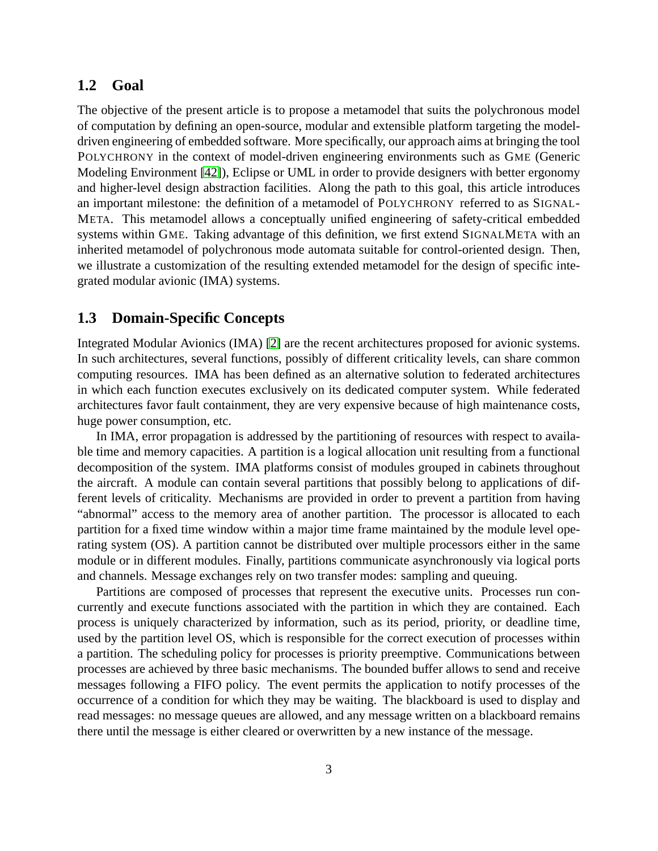## **1.2 Goal**

The objective of the present article is to propose a metamodel that suits the polychronous model of computation by defining an open-source, modular and extensible platform targeting the modeldriven engineering of embedded software. More specifically, our approach aims at bringing the tool POLYCHRONY in the context of model-driven engineering environments such as GME (Generic Modeling Environment [\[42\]](#page-39-0)), Eclipse or UML in order to provide designers with better ergonomy and higher-level design abstraction facilities. Along the path to this goal, this article introduces an important milestone: the definition of a metamodel of POLYCHRONY referred to as SIGNAL-META. This metamodel allows a conceptually unified engineering of safety-critical embedded systems within GME. Taking advantage of this definition, we first extend SIGNALMETA with an inherited metamodel of polychronous mode automata suitable for control-oriented design. Then, we illustrate a customization of the resulting extended metamodel for the design of specific integrated modular avionic (IMA) systems.

## **1.3 Domain-Specific Concepts**

Integrated Modular Avionics (IMA) [\[2\]](#page-36-2) are the recent architectures proposed for avionic systems. In such architectures, several functions, possibly of different criticality levels, can share common computing resources. IMA has been defined as an alternative solution to federated architectures in which each function executes exclusively on its dedicated computer system. While federated architectures favor fault containment, they are very expensive because of high maintenance costs, huge power consumption, etc.

In IMA, error propagation is addressed by the partitioning of resources with respect to available time and memory capacities. A partition is a logical allocation unit resulting from a functional decomposition of the system. IMA platforms consist of modules grouped in cabinets throughout the aircraft. A module can contain several partitions that possibly belong to applications of different levels of criticality. Mechanisms are provided in order to prevent a partition from having "abnormal" access to the memory area of another partition. The processor is allocated to each partition for a fixed time window within a major time frame maintained by the module level operating system (OS). A partition cannot be distributed over multiple processors either in the same module or in different modules. Finally, partitions communicate asynchronously via logical ports and channels. Message exchanges rely on two transfer modes: sampling and queuing.

Partitions are composed of processes that represent the executive units. Processes run concurrently and execute functions associated with the partition in which they are contained. Each process is uniquely characterized by information, such as its period, priority, or deadline time, used by the partition level OS, which is responsible for the correct execution of processes within a partition. The scheduling policy for processes is priority preemptive. Communications between processes are achieved by three basic mechanisms. The bounded buffer allows to send and receive messages following a FIFO policy. The event permits the application to notify processes of the occurrence of a condition for which they may be waiting. The blackboard is used to display and read messages: no message queues are allowed, and any message written on a blackboard remains there until the message is either cleared or overwritten by a new instance of the message.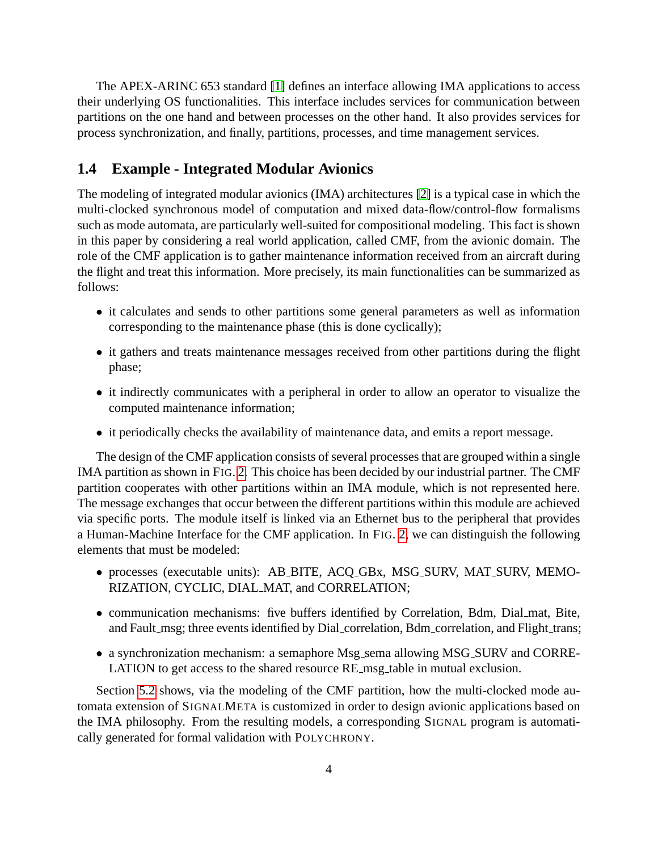The APEX-ARINC 653 standard [\[1\]](#page-36-3) defines an interface allowing IMA applications to access their underlying OS functionalities. This interface includes services for communication between partitions on the one hand and between processes on the other hand. It also provides services for process synchronization, and finally, partitions, processes, and time management services.

## <span id="page-3-0"></span>**1.4 Example - Integrated Modular Avionics**

The modeling of integrated modular avionics (IMA) architectures [\[2\]](#page-36-2) is a typical case in which the multi-clocked synchronous model of computation and mixed data-flow/control-flow formalisms such as mode automata, are particularly well-suited for compositional modeling. This fact is shown in this paper by considering a real world application, called CMF, from the avionic domain. The role of the CMF application is to gather maintenance information received from an aircraft during the flight and treat this information. More precisely, its main functionalities can be summarized as follows:

- it calculates and sends to other partitions some general parameters as well as information corresponding to the maintenance phase (this is done cyclically);
- it gathers and treats maintenance messages received from other partitions during the flight phase;
- it indirectly communicates with a peripheral in order to allow an operator to visualize the computed maintenance information;
- it periodically checks the availability of maintenance data, and emits a report message.

The design of the CMF application consists of several processes that are grouped within a single IMA partition as shown in FIG. [2.](#page-4-0) This choice has been decided by our industrial partner. The CMF partition cooperates with other partitions within an IMA module, which is not represented here. The message exchanges that occur between the different partitions within this module are achieved via specific ports. The module itself is linked via an Ethernet bus to the peripheral that provides a Human-Machine Interface for the CMF application. In FIG. [2,](#page-4-0) we can distinguish the following elements that must be modeled:

- processes (executable units): AB BITE, ACQ GBx, MSG SURV, MAT SURV, MEMO-RIZATION, CYCLIC, DIAL MAT, and CORRELATION;
- communication mechanisms: five buffers identified by Correlation, Bdm, Dial mat, Bite, and Fault\_msg; three events identified by Dial\_correlation, Bdm\_correlation, and Flight\_trans;
- a synchronization mechanism: a semaphore Msg sema allowing MSG SURV and CORRE-LATION to get access to the shared resource RE msg table in mutual exclusion.

Section [5.2](#page-25-0) shows, via the modeling of the CMF partition, how the multi-clocked mode automata extension of SIGNALMETA is customized in order to design avionic applications based on the IMA philosophy. From the resulting models, a corresponding SIGNAL program is automatically generated for formal validation with POLYCHRONY.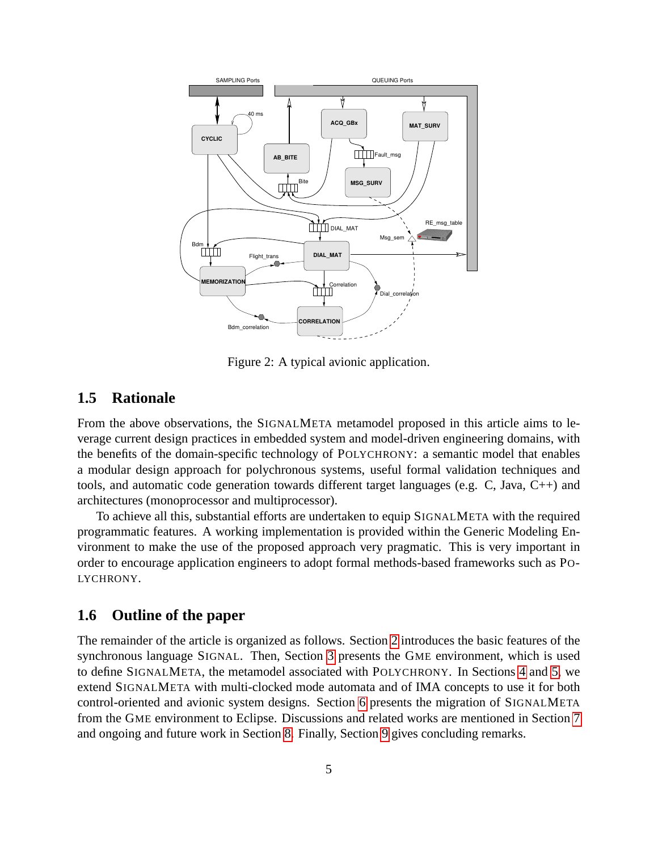

<span id="page-4-0"></span>Figure 2: A typical avionic application.

## **1.5 Rationale**

From the above observations, the SIGNALMETA metamodel proposed in this article aims to leverage current design practices in embedded system and model-driven engineering domains, with the benefits of the domain-specific technology of POLYCHRONY: a semantic model that enables a modular design approach for polychronous systems, useful formal validation techniques and tools, and automatic code generation towards different target languages (e.g. C, Java, C++) and architectures (monoprocessor and multiprocessor).

To achieve all this, substantial efforts are undertaken to equip SIGNALMETA with the required programmatic features. A working implementation is provided within the Generic Modeling Environment to make the use of the proposed approach very pragmatic. This is very important in order to encourage application engineers to adopt formal methods-based frameworks such as PO-LYCHRONY.

### **1.6 Outline of the paper**

The remainder of the article is organized as follows. Section [2](#page-5-0) introduces the basic features of the synchronous language SIGNAL. Then, Section [3](#page-9-0) presents the GME environment, which is used to define SIGNALMETA, the metamodel associated with POLYCHRONY. In Sections [4](#page-16-0) and [5,](#page-23-0) we extend SIGNALMETA with multi-clocked mode automata and of IMA concepts to use it for both control-oriented and avionic system designs. Section [6](#page-27-0) presents the migration of SIGNALMETA from the GME environment to Eclipse. Discussions and related works are mentioned in Section [7](#page-31-0) and ongoing and future work in Section [8.](#page-34-0) Finally, Section [9](#page-35-0) gives concluding remarks.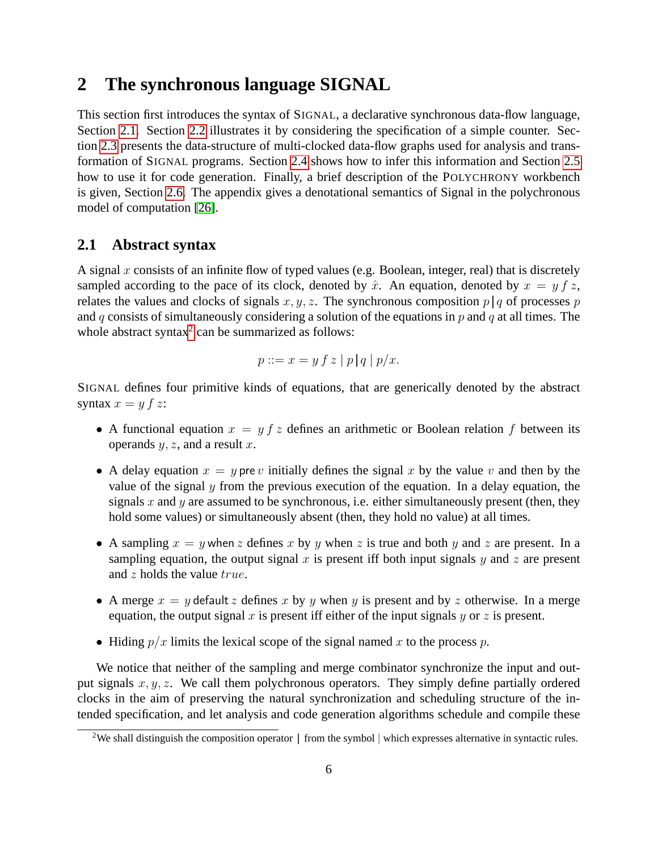# <span id="page-5-0"></span>**2 The synchronous language SIGNAL**

This section first introduces the syntax of SIGNAL, a declarative synchronous data-flow language, Section [2.1.](#page-5-1) Section [2.2](#page-6-0) illustrates it by considering the specification of a simple counter. Section [2.3](#page-6-1) presents the data-structure of multi-clocked data-flow graphs used for analysis and transformation of SIGNAL programs. Section [2.4](#page-7-0) shows how to infer this information and Section [2.5](#page-7-1) how to use it for code generation. Finally, a brief description of the POLYCHRONY workbench is given, Section [2.6.](#page-9-1) The appendix gives a denotational semantics of Signal in the polychronous model of computation [\[26\]](#page-38-0).

### <span id="page-5-1"></span>**2.1 Abstract syntax**

A signal x consists of an infinite flow of typed values (e.g. Boolean, integer, real) that is discretely sampled according to the pace of its clock, denoted by  $\hat{x}$ . An equation, denoted by  $x = y f z$ , relates the values and clocks of signals x, y, z. The synchronous composition  $p \mid q$  of processes p and q consists of simultaneously considering a solution of the equations in p and q at all times. The whole abstract syntax $2$  can be summarized as follows:

$$
p ::= x = y f z | p | q | p/x.
$$

SIGNAL defines four primitive kinds of equations, that are generically denoted by the abstract syntax  $x = y f z$ :

- A functional equation  $x = y f z$  defines an arithmetic or Boolean relation f between its operands  $y, z$ , and a result x.
- A delay equation  $x = y$  pre v initially defines the signal x by the value v and then by the value of the signal  $y$  from the previous execution of the equation. In a delay equation, the signals x and y are assumed to be synchronous, i.e. either simultaneously present (then, they hold some values) or simultaneously absent (then, they hold no value) at all times.
- A sampling  $x = y$  when z defines x by y when z is true and both y and z are present. In a sampling equation, the output signal x is present iff both input signals y and z are present and  $z$  holds the value  $true$ .
- A merge  $x = y$  default z defines x by y when y is present and by z otherwise. In a merge equation, the output signal x is present iff either of the input signals y or z is present.
- Hiding  $p/x$  limits the lexical scope of the signal named x to the process p.

We notice that neither of the sampling and merge combinator synchronize the input and output signals  $x, y, z$ . We call them polychronous operators. They simply define partially ordered clocks in the aim of preserving the natural synchronization and scheduling structure of the intended specification, and let analysis and code generation algorithms schedule and compile these

<span id="page-5-2"></span><sup>&</sup>lt;sup>2</sup>We shall distinguish the composition operator  $\mid$  from the symbol  $\mid$  which expresses alternative in syntactic rules.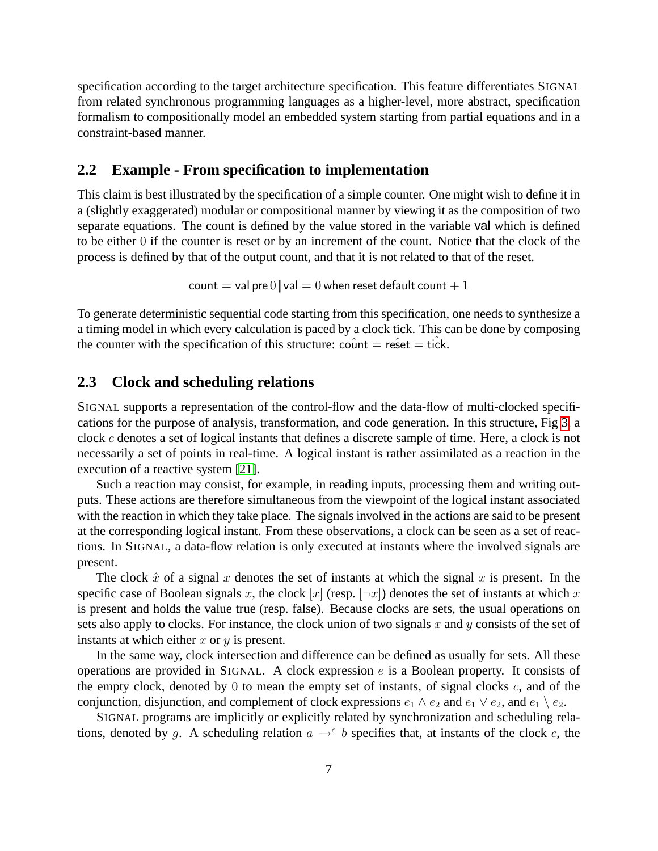specification according to the target architecture specification. This feature differentiates SIGNAL from related synchronous programming languages as a higher-level, more abstract, specification formalism to compositionally model an embedded system starting from partial equations and in a constraint-based manner.

#### <span id="page-6-0"></span>**2.2 Example - From specification to implementation**

This claim is best illustrated by the specification of a simple counter. One might wish to define it in a (slightly exaggerated) modular or compositional manner by viewing it as the composition of two separate equations. The count is defined by the value stored in the variable val which is defined to be either 0 if the counter is reset or by an increment of the count. Notice that the clock of the process is defined by that of the output count, and that it is not related to that of the reset.

count = val pre  $0 \mid$  val = 0 when reset default count + 1

To generate deterministic sequential code starting from this specification, one needs to synthesize a a timing model in which every calculation is paced by a clock tick. This can be done by composing the counter with the specification of this structure:  $\tilde{\text{count}} = \text{reset} = \text{tick}$ .

#### <span id="page-6-1"></span>**2.3 Clock and scheduling relations**

SIGNAL supports a representation of the control-flow and the data-flow of multi-clocked specifications for the purpose of analysis, transformation, and code generation. In this structure, Fig [3,](#page-7-2) a clock c denotes a set of logical instants that defines a discrete sample of time. Here, a clock is not necessarily a set of points in real-time. A logical instant is rather assimilated as a reaction in the execution of a reactive system [\[21\]](#page-37-3).

Such a reaction may consist, for example, in reading inputs, processing them and writing outputs. These actions are therefore simultaneous from the viewpoint of the logical instant associated with the reaction in which they take place. The signals involved in the actions are said to be present at the corresponding logical instant. From these observations, a clock can be seen as a set of reactions. In SIGNAL, a data-flow relation is only executed at instants where the involved signals are present.

The clock  $\hat{x}$  of a signal x denotes the set of instants at which the signal x is present. In the specific case of Boolean signals x, the clock  $[x]$  (resp.  $[\neg x]$ ) denotes the set of instants at which x is present and holds the value true (resp. false). Because clocks are sets, the usual operations on sets also apply to clocks. For instance, the clock union of two signals x and y consists of the set of instants at which either  $x$  or  $y$  is present.

In the same way, clock intersection and difference can be defined as usually for sets. All these operations are provided in SIGNAL. A clock expression  $e$  is a Boolean property. It consists of the empty clock, denoted by  $0$  to mean the empty set of instants, of signal clocks  $c$ , and of the conjunction, disjunction, and complement of clock expressions  $e_1 \wedge e_2$  and  $e_1 \vee e_2$ , and  $e_1 \setminus e_2$ .

SIGNAL programs are implicitly or explicitly related by synchronization and scheduling relations, denoted by g. A scheduling relation  $a \rightarrow c b$  specifies that, at instants of the clock c, the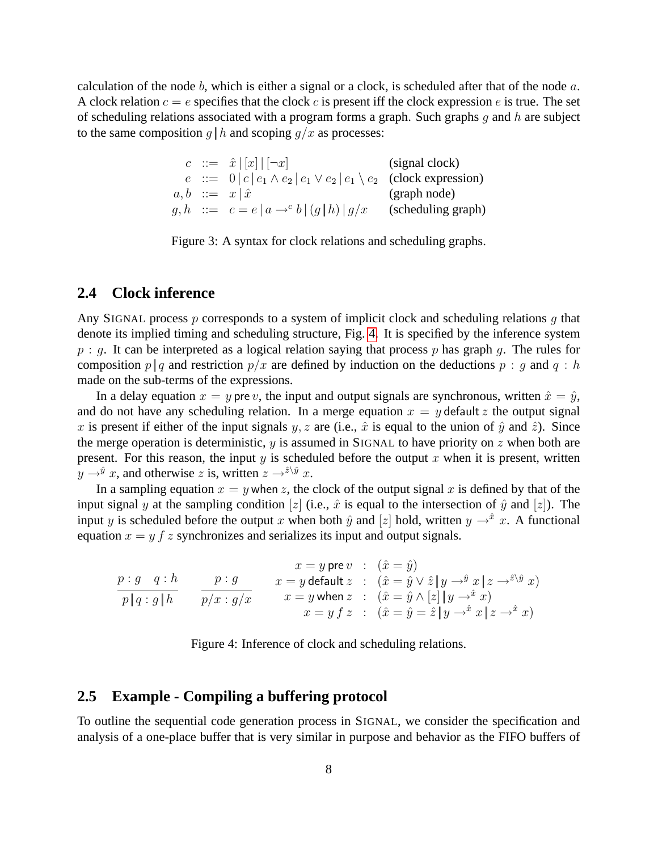calculation of the node  $b$ , which is either a signal or a clock, is scheduled after that of the node  $a$ . A clock relation  $c = e$  specifies that the clock c is present iff the clock expression e is true. The set of scheduling relations associated with a program forms a graph. Such graphs q and h are subject to the same composition  $q \mid h$  and scoping  $q \mid x$  as processes:

> $c := \hat{x} |x| |-\hat{x}|$  (signal clock)  $e$  ::= 0 | c |  $e_1 \wedge e_2$  |  $e_1 \vee e_2$  |  $e_1 \setminus e_2$  (clock expression)  $a, b \quad ::= \quad x \mid \hat{x}$  (graph node)  $g, h$  ::=  $c = e | a \rightarrow c$  $(scheduling graph)$

<span id="page-7-2"></span>Figure 3: A syntax for clock relations and scheduling graphs.

#### <span id="page-7-0"></span>**2.4 Clock inference**

Any SIGNAL process  $p$  corresponds to a system of implicit clock and scheduling relations  $q$  that denote its implied timing and scheduling structure, Fig. [4.](#page-7-3) It is specified by the inference system  $p : q$ . It can be interpreted as a logical relation saying that process p has graph q. The rules for composition  $p | q$  and restriction  $p/x$  are defined by induction on the deductions  $p : q$  and  $q : h$ made on the sub-terms of the expressions.

In a delay equation  $x = y$  pre v, the input and output signals are synchronous, written  $\hat{x} = \hat{y}$ , and do not have any scheduling relation. In a merge equation  $x = y$  default z the output signal x is present if either of the input signals y, z are (i.e.,  $\hat{x}$  is equal to the union of  $\hat{y}$  and  $\hat{z}$ ). Since the merge operation is deterministic,  $y$  is assumed in SIGNAL to have priority on  $z$  when both are present. For this reason, the input y is scheduled before the output x when it is present, written  $y \rightarrow^{\hat{y}} x$ , and otherwise z is, written  $z \rightarrow^{\hat{z}\backslash \hat{y}} x$ .

In a sampling equation  $x = y$  when z, the clock of the output signal x is defined by that of the input signal y at the sampling condition [z] (i.e.,  $\hat{x}$  is equal to the intersection of  $\hat{y}$  and [z]). The input y is scheduled before the output x when both  $\hat{y}$  and [z] hold, written  $y \rightarrow^{\hat{x}} x$ . A functional equation  $x = y f z$  synchronizes and serializes its input and output signals.

$$
\begin{array}{ccc}\np: g & q: h \\
\hline\np \mid q: g \mid h\n\end{array}\n\quad\n\begin{array}{ccc}\nx = y \text{ pre } v : & (\hat{x} = \hat{y}) \\
x = y \text{ default } z : & (\hat{x} = \hat{y} \vee \hat{z} \mid y \to^{\hat{y}} x \mid z \to^{\hat{z} \setminus \hat{y}} x) \\
\hline\nx = y \text{ when } z : & (\hat{x} = \hat{y} \wedge [z] \mid y \to^{\hat{x}} x) \\
x = y \text{ f } z : & (\hat{x} = \hat{y} = \hat{z} \mid y \to^{\hat{x}} x \mid z \to^{\hat{x}} x)\n\end{array}
$$

<span id="page-7-3"></span>Figure 4: Inference of clock and scheduling relations.

#### <span id="page-7-1"></span>**2.5 Example - Compiling a buffering protocol**

To outline the sequential code generation process in SIGNAL, we consider the specification and analysis of a one-place buffer that is very similar in purpose and behavior as the FIFO buffers of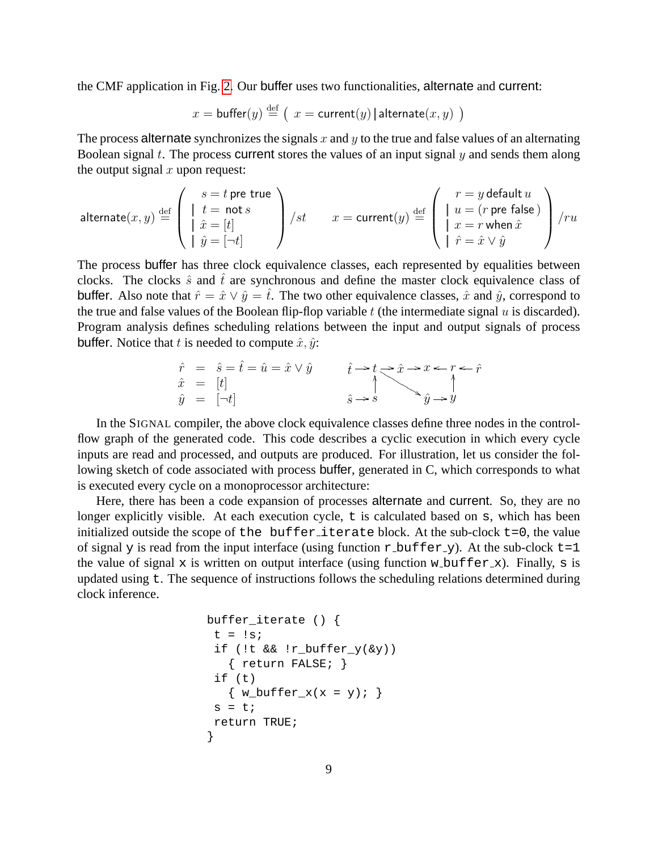the CMF application in Fig. [2.](#page-4-0) Our buffer uses two functionalities, alternate and current:

$$
x = \text{buffer}(y) \stackrel{\text{def}}{=} \big( \ x = \text{current}(y) \, | \, \text{alternate}(x, y) \ \big)
$$

The process alternate synchronizes the signals x and  $\gamma$  to the true and false values of an alternating Boolean signal  $t$ . The process current stores the values of an input signal  $y$  and sends them along the output signal  $x$  upon request:

$$
\mathsf{alternate}(x,y) \stackrel{\mathrm{def}}{=} \left( \begin{array}{ccc} s = t \ \mathsf{pre}\ \mathsf{true} \\ t = \ \mathsf{not}\ s \\ \begin{matrix} \hat{x} = [t] \\ \hat{y} = [\neg t] \end{matrix} \end{array} \right) / st \qquad x = \mathsf{current}(y) \stackrel{\mathrm{def}}{=} \left( \begin{array}{ccc} r = y \ \mathsf{default}\ u \\ \begin{matrix} u = (r \ \mathsf{pre}\ \mathsf{false}) \\ x = r \ \mathsf{when}\ \hat{x} \end{matrix} \end{array} \right) / ru
$$

The process buffer has three clock equivalence classes, each represented by equalities between clocks. The clocks  $\hat{s}$  and  $\hat{t}$  are synchronous and define the master clock equivalence class of buffer. Also note that  $\hat{r} = \hat{x} \vee \hat{y} = \hat{t}$ . The two other equivalence classes,  $\hat{x}$  and  $\hat{y}$ , correspond to the true and false values of the Boolean flip-flop variable  $t$  (the intermediate signal  $u$  is discarded). Program analysis defines scheduling relations between the input and output signals of process buffer. Notice that t is needed to compute  $\hat{x}, \hat{y}$ :

$$
\begin{array}{rcl}\n\hat{r} & = & \hat{s} = \hat{t} = \hat{u} = \hat{x} \vee \hat{y} \\
\hat{x} & = & [t] \\
\hat{y} & = & [\neg t]\n\end{array}\n\qquad\n\begin{array}{rcl}\n\hat{t} \rightarrow t \rightarrow \hat{x} \rightarrow x \leftarrow r \leftarrow \hat{r} \\
\uparrow & \uparrow \\
\hat{s} \rightarrow s\n\end{array}
$$

In the SIGNAL compiler, the above clock equivalence classes define three nodes in the controlflow graph of the generated code. This code describes a cyclic execution in which every cycle inputs are read and processed, and outputs are produced. For illustration, let us consider the following sketch of code associated with process buffer, generated in C, which corresponds to what is executed every cycle on a monoprocessor architecture:

Here, there has been a code expansion of processes alternate and current. So, they are no longer explicitly visible. At each execution cycle, t is calculated based on s, which has been initialized outside the scope of the buffer iterate block. At the sub-clock  $t=0$ , the value of signal y is read from the input interface (using function  $r$  buffer y). At the sub-clock  $t=1$ the value of signal x is written on output interface (using function w buffer  $x$ ). Finally, s is updated using t. The sequence of instructions follows the scheduling relations determined during clock inference.

```
buffer_iterate () {
t = 1siif (!t && !r_buffer_y(&y))
   { return FALSE; }
if (t)
   \{ w_buffer_x(x = y); \}s = \pm ireturn TRUE;
}
```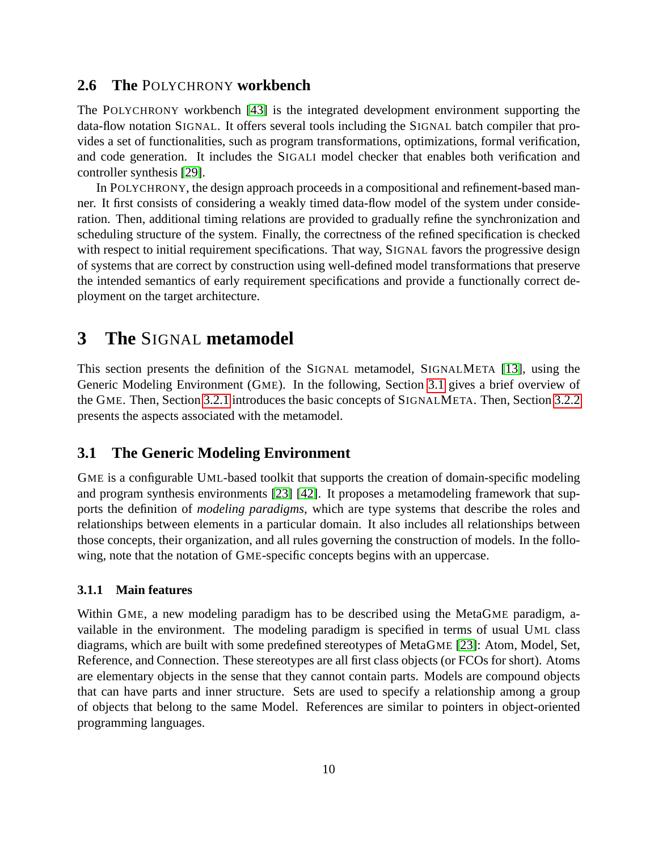## <span id="page-9-1"></span>**2.6 The** POLYCHRONY **workbench**

The POLYCHRONY workbench [\[43\]](#page-39-1) is the integrated development environment supporting the data-flow notation SIGNAL. It offers several tools including the SIGNAL batch compiler that provides a set of functionalities, such as program transformations, optimizations, formal verification, and code generation. It includes the SIGALI model checker that enables both verification and controller synthesis [\[29\]](#page-38-1).

In POLYCHRONY, the design approach proceeds in a compositional and refinement-based manner. It first consists of considering a weakly timed data-flow model of the system under consideration. Then, additional timing relations are provided to gradually refine the synchronization and scheduling structure of the system. Finally, the correctness of the refined specification is checked with respect to initial requirement specifications. That way, SIGNAL favors the progressive design of systems that are correct by construction using well-defined model transformations that preserve the intended semantics of early requirement specifications and provide a functionally correct deployment on the target architecture.

## <span id="page-9-0"></span>**3 The** SIGNAL **metamodel**

This section presents the definition of the SIGNAL metamodel, SIGNALMETA [\[13\]](#page-37-4), using the Generic Modeling Environment (GME). In the following, Section [3.1](#page-9-2) gives a brief overview of the GME. Then, Section [3.2.1](#page-11-0) introduces the basic concepts of SIGNALMETA. Then, Section [3.2.2](#page-13-0) presents the aspects associated with the metamodel.

### <span id="page-9-2"></span>**3.1 The Generic Modeling Environment**

GME is a configurable UML-based toolkit that supports the creation of domain-specific modeling and program synthesis environments [\[23\]](#page-38-2) [\[42\]](#page-39-0). It proposes a metamodeling framework that supports the definition of *modeling paradigms*, which are type systems that describe the roles and relationships between elements in a particular domain. It also includes all relationships between those concepts, their organization, and all rules governing the construction of models. In the following, note that the notation of GME-specific concepts begins with an uppercase.

#### **3.1.1 Main features**

Within GME, a new modeling paradigm has to be described using the MetaGME paradigm, available in the environment. The modeling paradigm is specified in terms of usual UML class diagrams, which are built with some predefined stereotypes of MetaGME [\[23\]](#page-38-2): Atom, Model, Set, Reference, and Connection. These stereotypes are all first class objects (or FCOs for short). Atoms are elementary objects in the sense that they cannot contain parts. Models are compound objects that can have parts and inner structure. Sets are used to specify a relationship among a group of objects that belong to the same Model. References are similar to pointers in object-oriented programming languages.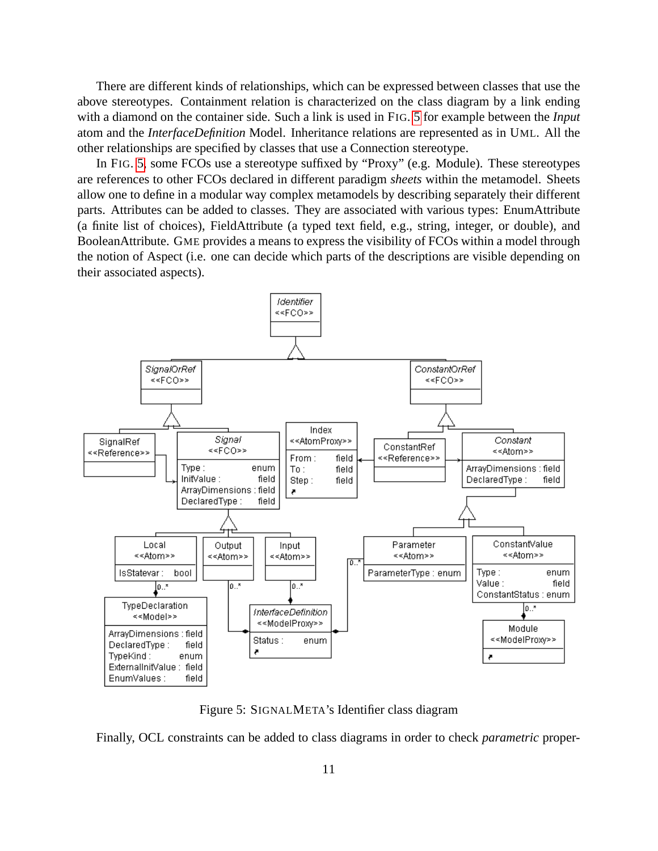There are different kinds of relationships, which can be expressed between classes that use the above stereotypes. Containment relation is characterized on the class diagram by a link ending with a diamond on the container side. Such a link is used in FIG. [5](#page-10-0) for example between the *Input* atom and the *InterfaceDefinition* Model. Inheritance relations are represented as in UML. All the other relationships are specified by classes that use a Connection stereotype.

In FIG. [5,](#page-10-0) some FCOs use a stereotype suffixed by "Proxy" (e.g. Module). These stereotypes are references to other FCOs declared in different paradigm *sheets* within the metamodel. Sheets allow one to define in a modular way complex metamodels by describing separately their different parts. Attributes can be added to classes. They are associated with various types: EnumAttribute (a finite list of choices), FieldAttribute (a typed text field, e.g., string, integer, or double), and BooleanAttribute. GME provides a means to express the visibility of FCOs within a model through the notion of Aspect (i.e. one can decide which parts of the descriptions are visible depending on their associated aspects).



<span id="page-10-0"></span>Figure 5: SIGNALMETA's Identifier class diagram

Finally, OCL constraints can be added to class diagrams in order to check *parametric* proper-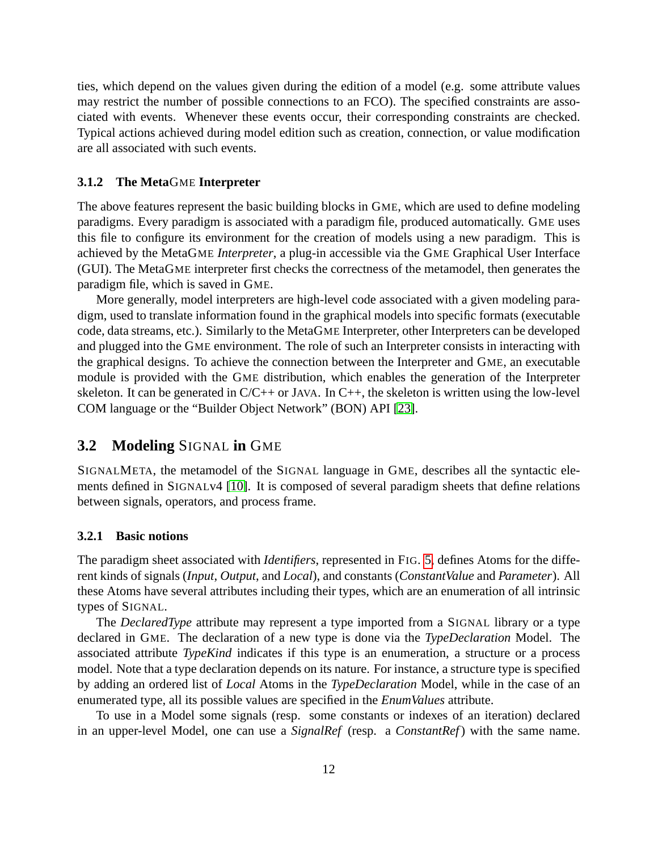ties, which depend on the values given during the edition of a model (e.g. some attribute values may restrict the number of possible connections to an FCO). The specified constraints are associated with events. Whenever these events occur, their corresponding constraints are checked. Typical actions achieved during model edition such as creation, connection, or value modification are all associated with such events.

#### **3.1.2 The Meta**GME **Interpreter**

The above features represent the basic building blocks in GME, which are used to define modeling paradigms. Every paradigm is associated with a paradigm file, produced automatically. GME uses this file to configure its environment for the creation of models using a new paradigm. This is achieved by the MetaGME *Interpreter*, a plug-in accessible via the GME Graphical User Interface (GUI). The MetaGME interpreter first checks the correctness of the metamodel, then generates the paradigm file, which is saved in GME.

More generally, model interpreters are high-level code associated with a given modeling paradigm, used to translate information found in the graphical models into specific formats (executable code, data streams, etc.). Similarly to the MetaGME Interpreter, other Interpreters can be developed and plugged into the GME environment. The role of such an Interpreter consists in interacting with the graphical designs. To achieve the connection between the Interpreter and GME, an executable module is provided with the GME distribution, which enables the generation of the Interpreter skeleton. It can be generated in  $C/C++$  or JAVA. In  $C++$ , the skeleton is written using the low-level COM language or the "Builder Object Network" (BON) API [\[23\]](#page-38-2).

### **3.2 Modeling** SIGNAL **in** GME

SIGNALMETA, the metamodel of the SIGNAL language in GME, describes all the syntactic elements defined in SIGNALv4 [\[10\]](#page-37-5). It is composed of several paradigm sheets that define relations between signals, operators, and process frame.

#### <span id="page-11-0"></span>**3.2.1 Basic notions**

The paradigm sheet associated with *Identifiers*, represented in FIG. [5,](#page-10-0) defines Atoms for the different kinds of signals (*Input*, *Output*, and *Local*), and constants (*ConstantValue* and *Parameter*). All these Atoms have several attributes including their types, which are an enumeration of all intrinsic types of SIGNAL.

The *DeclaredType* attribute may represent a type imported from a SIGNAL library or a type declared in GME. The declaration of a new type is done via the *TypeDeclaration* Model. The associated attribute *TypeKind* indicates if this type is an enumeration, a structure or a process model. Note that a type declaration depends on its nature. For instance, a structure type is specified by adding an ordered list of *Local* Atoms in the *TypeDeclaration* Model, while in the case of an enumerated type, all its possible values are specified in the *EnumValues* attribute.

To use in a Model some signals (resp. some constants or indexes of an iteration) declared in an upper-level Model, one can use a *SignalRef* (resp. a *ConstantRef*) with the same name.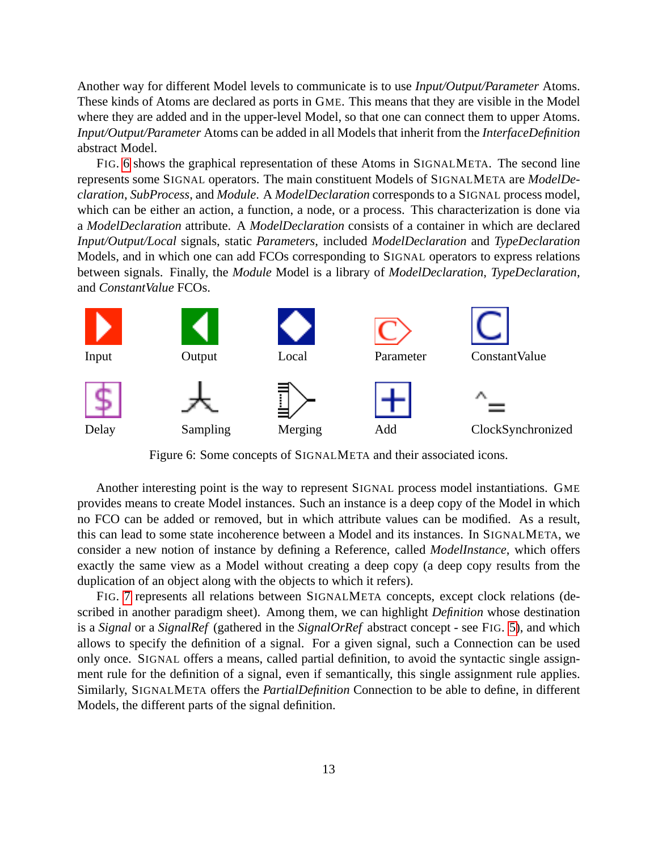Another way for different Model levels to communicate is to use *Input/Output/Parameter* Atoms. These kinds of Atoms are declared as ports in GME. This means that they are visible in the Model where they are added and in the upper-level Model, so that one can connect them to upper Atoms. *Input/Output/Parameter* Atoms can be added in all Models that inherit from the *InterfaceDefinition* abstract Model.

FIG. [6](#page-12-0) shows the graphical representation of these Atoms in SIGNALMETA. The second line represents some SIGNAL operators. The main constituent Models of SIGNALMETA are *ModelDeclaration*, *SubProcess*, and *Module*. A *ModelDeclaration* corresponds to a SIGNAL process model, which can be either an action, a function, a node, or a process. This characterization is done via a *ModelDeclaration* attribute. A *ModelDeclaration* consists of a container in which are declared *Input/Output/Local* signals, static *Parameters*, included *ModelDeclaration* and *TypeDeclaration* Models, and in which one can add FCOs corresponding to SIGNAL operators to express relations between signals. Finally, the *Module* Model is a library of *ModelDeclaration*, *TypeDeclaration*, and *ConstantValue* FCOs.



<span id="page-12-0"></span>Figure 6: Some concepts of SIGNALMETA and their associated icons.

Another interesting point is the way to represent SIGNAL process model instantiations. GME provides means to create Model instances. Such an instance is a deep copy of the Model in which no FCO can be added or removed, but in which attribute values can be modified. As a result, this can lead to some state incoherence between a Model and its instances. In SIGNALMETA, we consider a new notion of instance by defining a Reference, called *ModelInstance*, which offers exactly the same view as a Model without creating a deep copy (a deep copy results from the duplication of an object along with the objects to which it refers).

FIG. [7](#page-13-1) represents all relations between SIGNALMETA concepts, except clock relations (described in another paradigm sheet). Among them, we can highlight *Definition* whose destination is a *Signal* or a *SignalRef* (gathered in the *SignalOrRef* abstract concept - see FIG. [5\)](#page-10-0), and which allows to specify the definition of a signal. For a given signal, such a Connection can be used only once. SIGNAL offers a means, called partial definition, to avoid the syntactic single assignment rule for the definition of a signal, even if semantically, this single assignment rule applies. Similarly, SIGNALMETA offers the *PartialDefinition* Connection to be able to define, in different Models, the different parts of the signal definition.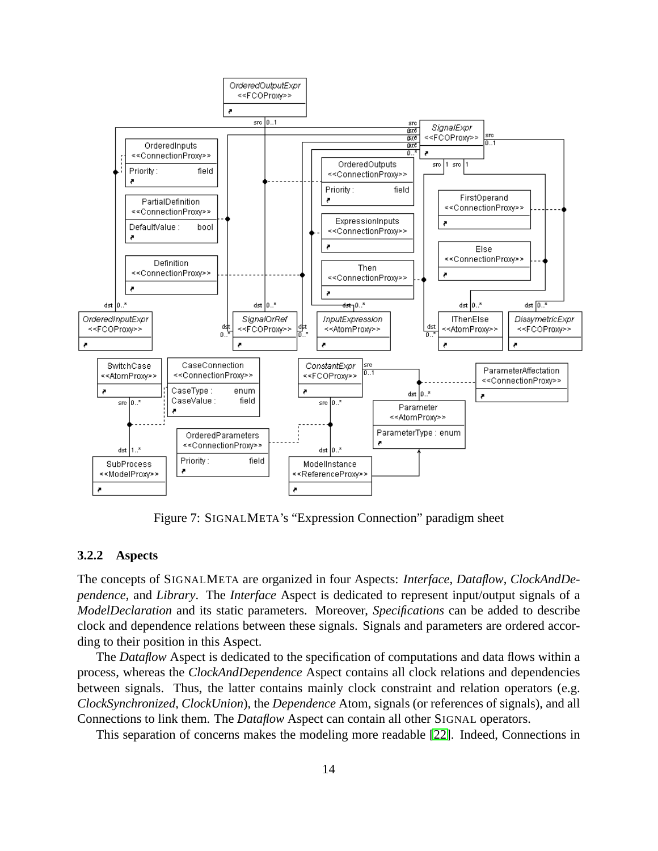

<span id="page-13-1"></span>Figure 7: SIGNALMETA's "Expression Connection" paradigm sheet

#### <span id="page-13-0"></span>**3.2.2 Aspects**

The concepts of SIGNALMETA are organized in four Aspects: *Interface*, *Dataflow*, *ClockAndDependence*, and *Library*. The *Interface* Aspect is dedicated to represent input/output signals of a *ModelDeclaration* and its static parameters. Moreover, *Specifications* can be added to describe clock and dependence relations between these signals. Signals and parameters are ordered according to their position in this Aspect.

The *Dataflow* Aspect is dedicated to the specification of computations and data flows within a process, whereas the *ClockAndDependence* Aspect contains all clock relations and dependencies between signals. Thus, the latter contains mainly clock constraint and relation operators (e.g. *ClockSynchronized*, *ClockUnion*), the *Dependence* Atom, signals (or references of signals), and all Connections to link them. The *Dataflow* Aspect can contain all other SIGNAL operators.

This separation of concerns makes the modeling more readable [\[22\]](#page-37-6). Indeed, Connections in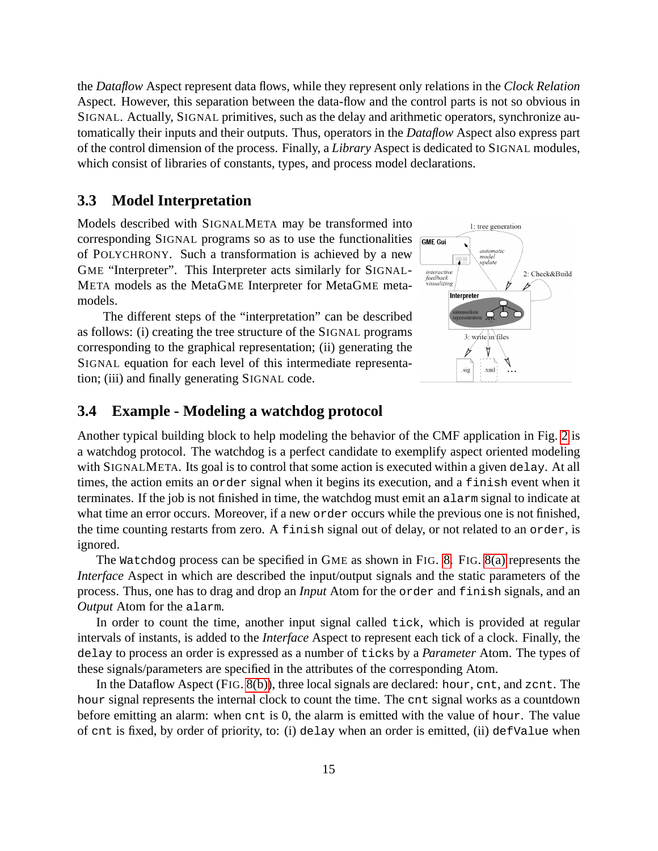the *Dataflow* Aspect represent data flows, while they represent only relations in the *Clock Relation* Aspect. However, this separation between the data-flow and the control parts is not so obvious in SIGNAL. Actually, SIGNAL primitives, such as the delay and arithmetic operators, synchronize automatically their inputs and their outputs. Thus, operators in the *Dataflow* Aspect also express part of the control dimension of the process. Finally, a *Library* Aspect is dedicated to SIGNAL modules, which consist of libraries of constants, types, and process model declarations.

### <span id="page-14-0"></span>**3.3 Model Interpretation**

Models described with SIGNALMETA may be transformed into corresponding SIGNAL programs so as to use the functionalities of POLYCHRONY. Such a transformation is achieved by a new GME "Interpreter". This Interpreter acts similarly for SIGNAL-META models as the MetaGME Interpreter for MetaGME metamodels.

The different steps of the "interpretation" can be described as follows: (i) creating the tree structure of the SIGNAL programs corresponding to the graphical representation; (ii) generating the SIGNAL equation for each level of this intermediate representation; (iii) and finally generating SIGNAL code.



### **3.4 Example - Modeling a watchdog protocol**

Another typical building block to help modeling the behavior of the CMF application in Fig. [2](#page-4-0) is a watchdog protocol. The watchdog is a perfect candidate to exemplify aspect oriented modeling with SIGNALMETA. Its goal is to control that some action is executed within a given delay. At all times, the action emits an order signal when it begins its execution, and a finish event when it terminates. If the job is not finished in time, the watchdog must emit an alarm signal to indicate at what time an error occurs. Moreover, if a new order occurs while the previous one is not finished, the time counting restarts from zero. A finish signal out of delay, or not related to an order, is ignored.

The Watchdog process can be specified in GME as shown in FIG. [8.](#page-15-0) FIG. [8\(a\)](#page-15-1) represents the *Interface* Aspect in which are described the input/output signals and the static parameters of the process. Thus, one has to drag and drop an *Input* Atom for the order and finish signals, and an *Output* Atom for the alarm.

In order to count the time, another input signal called tick, which is provided at regular intervals of instants, is added to the *Interface* Aspect to represent each tick of a clock. Finally, the delay to process an order is expressed as a number of ticks by a *Parameter* Atom. The types of these signals/parameters are specified in the attributes of the corresponding Atom.

In the Dataflow Aspect (FIG. [8\(b\)\)](#page-15-2), three local signals are declared: hour, cnt, and zcnt. The hour signal represents the internal clock to count the time. The cnt signal works as a countdown before emitting an alarm: when cnt is 0, the alarm is emitted with the value of hour. The value of cnt is fixed, by order of priority, to: (i) delay when an order is emitted, (ii) defValue when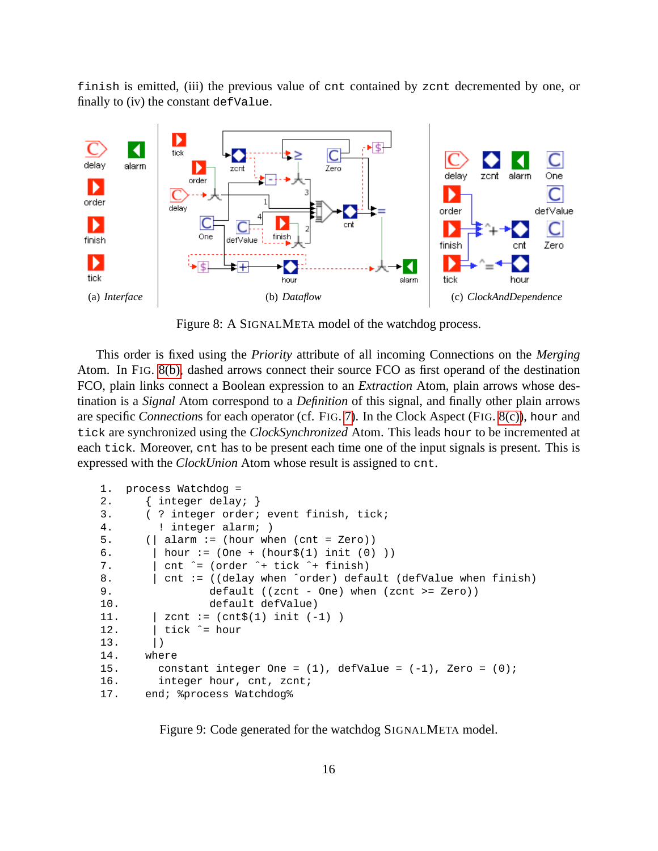finish is emitted, (iii) the previous value of cnt contained by zcnt decremented by one, or finally to (iv) the constant defValue.

<span id="page-15-1"></span>

<span id="page-15-3"></span><span id="page-15-2"></span><span id="page-15-0"></span>Figure 8: A SIGNALMETA model of the watchdog process.

This order is fixed using the *Priority* attribute of all incoming Connections on the *Merging* Atom. In FIG. [8\(b\),](#page-15-2) dashed arrows connect their source FCO as first operand of the destination FCO, plain links connect a Boolean expression to an *Extraction* Atom, plain arrows whose destination is a *Signal* Atom correspond to a *Definition* of this signal, and finally other plain arrows are specific *Connection*s for each operator (cf. FIG. [7\)](#page-13-1). In the Clock Aspect (FIG. [8\(c\)\)](#page-15-3), hour and tick are synchronized using the *ClockSynchronized* Atom. This leads hour to be incremented at each tick. Moreover, cnt has to be present each time one of the input signals is present. This is expressed with the *ClockUnion* Atom whose result is assigned to cnt.

```
1. process Watchdog =
2. { integer delay; }
3. ( ? integer order; event finish, tick;
4. ! integer alarm; )
5. (| alarm := (hour when (cnt = Zero))
6. | hour := (One + (hour \xi(1) init (0) ))7. \vert cnt \hat{ } = (order \hat{ } + tick \hat{ } + finish)
8. | cnt := ((delay when ^order) default (defValue when finish)
9. default ((zcnt - One) when (zcnt >= Zero))
10. default defValue)
11. | \t{z} \text{cnt} := (\text{cnt}(1) \text{init} (-1)) |12. | tick ˆ= hour
13. |)
14. where
15. constant integer One = (1), defValue = (-1), Zero = (0);
16. integer hour, cnt, zcnt;
17. end; %process Watchdog%
```
<span id="page-15-4"></span>Figure 9: Code generated for the watchdog SIGNALMETA model.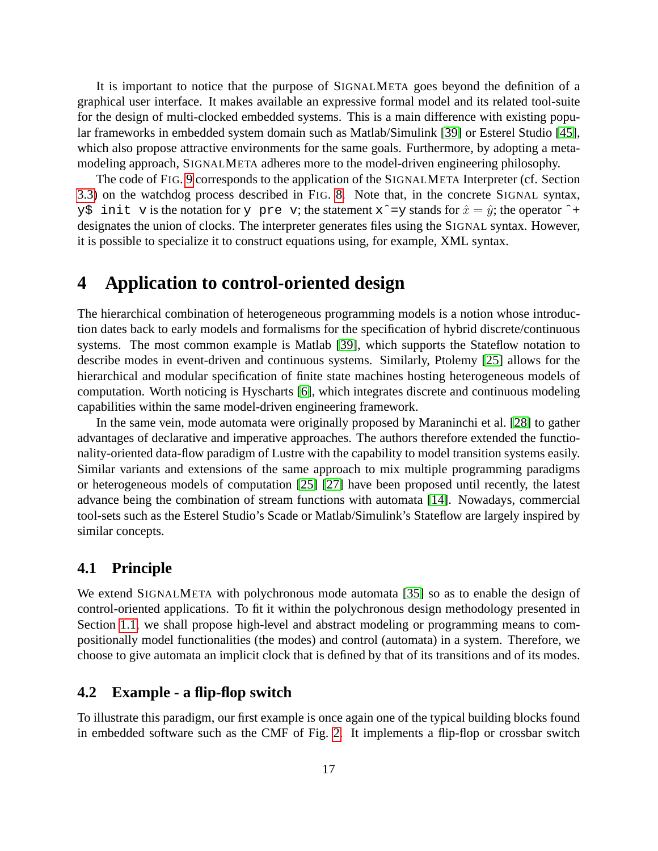It is important to notice that the purpose of SIGNALMETA goes beyond the definition of a graphical user interface. It makes available an expressive formal model and its related tool-suite for the design of multi-clocked embedded systems. This is a main difference with existing popular frameworks in embedded system domain such as Matlab/Simulink [\[39\]](#page-39-2) or Esterel Studio [\[45\]](#page-39-3), which also propose attractive environments for the same goals. Furthermore, by adopting a metamodeling approach, SIGNALMETA adheres more to the model-driven engineering philosophy.

The code of FIG. [9](#page-15-4) corresponds to the application of the SIGNALMETA Interpreter (cf. Section [3.3\)](#page-14-0) on the watchdog process described in FIG. [8.](#page-15-0) Note that, in the concrete SIGNAL syntax, y\$ init v is the notation for y pre v; the statement x^=y stands for  $\hat{x} = \hat{y}$ ; the operator ^+ designates the union of clocks. The interpreter generates files using the SIGNAL syntax. However, it is possible to specialize it to construct equations using, for example, XML syntax.

## <span id="page-16-0"></span>**4 Application to control-oriented design**

The hierarchical combination of heterogeneous programming models is a notion whose introduction dates back to early models and formalisms for the specification of hybrid discrete/continuous systems. The most common example is Matlab [\[39\]](#page-39-2), which supports the Stateflow notation to describe modes in event-driven and continuous systems. Similarly, Ptolemy [\[25\]](#page-38-3) allows for the hierarchical and modular specification of finite state machines hosting heterogeneous models of computation. Worth noticing is Hyscharts [\[6\]](#page-36-4), which integrates discrete and continuous modeling capabilities within the same model-driven engineering framework.

In the same vein, mode automata were originally proposed by Maraninchi et al. [\[28\]](#page-38-4) to gather advantages of declarative and imperative approaches. The authors therefore extended the functionality-oriented data-flow paradigm of Lustre with the capability to model transition systems easily. Similar variants and extensions of the same approach to mix multiple programming paradigms or heterogeneous models of computation [\[25\]](#page-38-3) [\[27\]](#page-38-5) have been proposed until recently, the latest advance being the combination of stream functions with automata [\[14\]](#page-37-7). Nowadays, commercial tool-sets such as the Esterel Studio's Scade or Matlab/Simulink's Stateflow are largely inspired by similar concepts.

## **4.1 Principle**

We extend SIGNALMETA with polychronous mode automata [\[35\]](#page-38-6) so as to enable the design of control-oriented applications. To fit it within the polychronous design methodology presented in Section [1.1,](#page-1-4) we shall propose high-level and abstract modeling or programming means to compositionally model functionalities (the modes) and control (automata) in a system. Therefore, we choose to give automata an implicit clock that is defined by that of its transitions and of its modes.

## <span id="page-16-1"></span>**4.2 Example - a flip-flop switch**

To illustrate this paradigm, our first example is once again one of the typical building blocks found in embedded software such as the CMF of Fig. [2.](#page-4-0) It implements a flip-flop or crossbar switch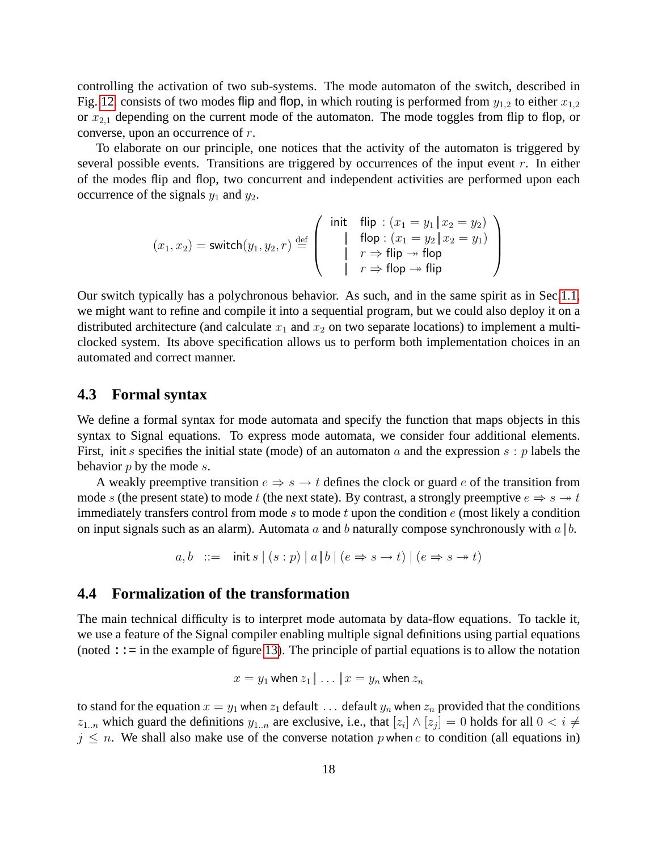controlling the activation of two sub-systems. The mode automaton of the switch, described in Fig. [12,](#page-21-0) consists of two modes flip and flop, in which routing is performed from  $y_{1,2}$  to either  $x_{1,2}$ or  $x_{2,1}$  depending on the current mode of the automaton. The mode toggles from flip to flop, or converse, upon an occurrence of  $r$ .

To elaborate on our principle, one notices that the activity of the automaton is triggered by several possible events. Transitions are triggered by occurrences of the input event  $r$ . In either of the modes flip and flop, two concurrent and independent activities are performed upon each occurrence of the signals  $y_1$  and  $y_2$ .

$$
(x_1, x_2) = \text{switch}(y_1, y_2, r) \stackrel{\text{def}}{=} \left( \begin{array}{c} \text{init } & \text{flip } : (x_1 = y_1 \, | \, x_2 = y_2) \\ \text{flop} : (x_1 = y_2 \, | \, x_2 = y_1) \\ \text{r} \Rightarrow \text{flip} \rightarrow \text{flop} \\ \text{r} \Rightarrow \text{flop} \rightarrow \text{flip} \end{array} \right)
$$

Our switch typically has a polychronous behavior. As such, and in the same spirit as in Sec[.1.1,](#page-1-4) we might want to refine and compile it into a sequential program, but we could also deploy it on a distributed architecture (and calculate  $x_1$  and  $x_2$  on two separate locations) to implement a multiclocked system. Its above specification allows us to perform both implementation choices in an automated and correct manner.

### **4.3 Formal syntax**

We define a formal syntax for mode automata and specify the function that maps objects in this syntax to Signal equations. To express mode automata, we consider four additional elements. First, init s specifies the initial state (mode) of an automaton a and the expression  $s : p$  labels the behavior  $p$  by the mode  $s$ .

A weakly preemptive transition  $e \Rightarrow s \rightarrow t$  defines the clock or guard e of the transition from mode s (the present state) to mode t (the next state). By contrast, a strongly preemptive  $e \Rightarrow s \rightarrow t$ immediately transfers control from mode  $s$  to mode  $t$  upon the condition  $e$  (most likely a condition on input signals such as an alarm). Automata a and b naturally compose synchronously with  $a \mid b$ .

$$
a, b \ ::= \text{init } s \mid (s : p) \mid a \mid b \mid (e \Rightarrow s \rightarrow t) \mid (e \Rightarrow s \rightarrow t)
$$

#### **4.4 Formalization of the transformation**

The main technical difficulty is to interpret mode automata by data-flow equations. To tackle it, we use a feature of the Signal compiler enabling multiple signal definitions using partial equations (noted  $\cdot$  : = in the example of figure [13\)](#page-21-1). The principle of partial equations is to allow the notation

$$
x = y_1 \text{ when } z_1 | \dots | x = y_n \text{ when } z_n
$$

to stand for the equation  $x = y_1$  when  $z_1$  default ... default  $y_n$  when  $z_n$  provided that the conditions  $z_{1..n}$  which guard the definitions  $y_{1..n}$  are exclusive, i.e., that  $[z_i] \wedge [z_j] = 0$  holds for all  $0 \lt i \neq j$  $j \leq n$ . We shall also make use of the converse notation p when c to condition (all equations in)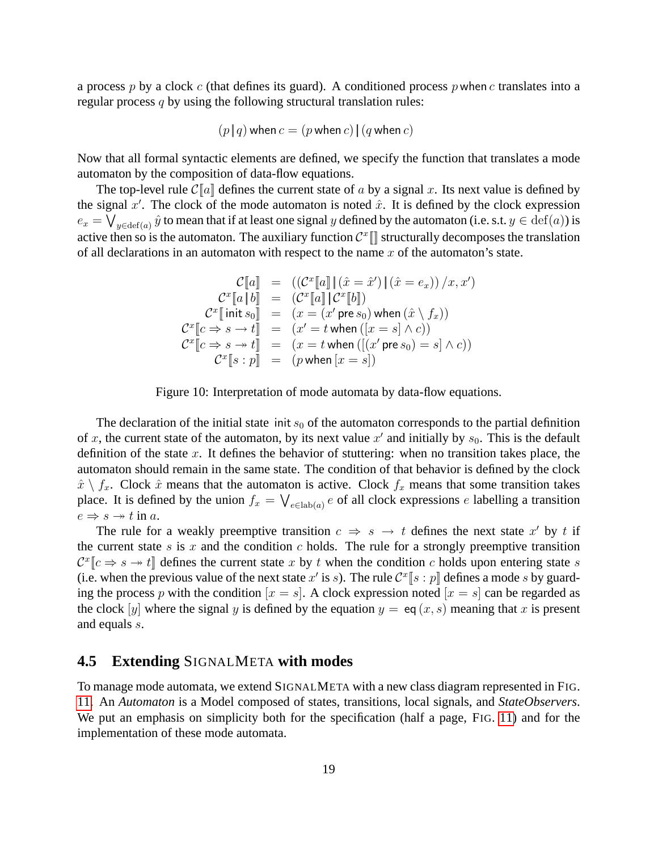a process p by a clock c (that defines its guard). A conditioned process p when c translates into a regular process q by using the following structural translation rules:

$$
(p|q)
$$
 when  $c = (p$  when  $c)$  |  $(q$  when  $c)$ 

Now that all formal syntactic elements are defined, we specify the function that translates a mode automaton by the composition of data-flow equations.

The top-level rule  $\mathcal{C}[\![a]\!]$  defines the current state of a by a signal x. Its next value is defined by the signal  $x'$ . The clock of the mode automaton is noted  $\hat{x}$ . It is defined by the clock expression  $e_x=\bigvee_{y\in\text{def}(a)}\hat{y}$  to mean that if at least one signal  $y$  defined by the automaton (i.e. s.t.  $y\in\text{def}(a)$ ) is active then so is the automaton. The auxiliary function  $\mathcal{C}^x\llbracket \mathbb{I} \rbrack$  structurally decomposes the translation of all declarations in an automaton with respect to the name  $x$  of the automaton's state.

$$
\mathcal{C}\llbracket a \rrbracket = ((\mathcal{C}^x \llbracket a \rrbracket)(\hat{x} = \hat{x}'))(\hat{x}, x')
$$
  

$$
\mathcal{C}^x \llbracket a \rfloor b \rrbracket = (\mathcal{C}^x \llbracket a \rrbracket) \mathcal{C}^x \llbracket b \rrbracket)
$$
  

$$
\mathcal{C}^x \llbracket \text{init } s_0 \rrbracket = (x = (x' \text{ pre } s_0) \text{ when } (\hat{x} \setminus f_x))
$$
  

$$
\mathcal{C}^x \llbracket c \Rightarrow s \rightarrow t \rrbracket = (x' = t \text{ when } ([x = s] \land c))
$$
  

$$
\mathcal{C}^x \llbracket c \Rightarrow s \rightarrow t \rrbracket = (x = t \text{ when } ([x' \text{ pre } s_0) = s] \land c))
$$
  

$$
\mathcal{C}^x \llbracket s : p \rrbracket = (p \text{ when } [x = s])
$$

Figure 10: Interpretation of mode automata by data-flow equations.

The declaration of the initial state init  $s_0$  of the automaton corresponds to the partial definition of x, the current state of the automaton, by its next value  $x'$  and initially by  $s_0$ . This is the default definition of the state x. It defines the behavior of stuttering: when no transition takes place, the automaton should remain in the same state. The condition of that behavior is defined by the clock  $\hat{x} \setminus f_x$ . Clock  $\hat{x}$  means that the automaton is active. Clock  $f_x$  means that some transition takes place. It is defined by the union  $f_x = \bigvee_{e \in \text{lab}(a)} e$  of all clock expressions e labelling a transition  $e \Rightarrow s \rightarrow t$  in a.

The rule for a weakly preemptive transition  $c \Rightarrow s \rightarrow t$  defines the next state x' by t if the current state  $s$  is  $x$  and the condition  $c$  holds. The rule for a strongly preemptive transition  $\mathcal{C}^x$ [ $c \Rightarrow s \rightarrow t$ ] defines the current state x by t when the condition c holds upon entering state s (i.e. when the previous value of the next state  $x'$  is s). The rule  $\mathcal{C}^x \llbracket s : p \rrbracket$  defines a mode s by guarding the process p with the condition  $[x = s]$ . A clock expression noted  $[x = s]$  can be regarded as the clock [y] where the signal y is defined by the equation  $y = eq(x, s)$  meaning that x is present and equals s.

#### **4.5 Extending** SIGNALMETA **with modes**

To manage mode automata, we extend SIGNALMETA with a new class diagram represented in FIG. [11.](#page-19-0) An *Automaton* is a Model composed of states, transitions, local signals, and *StateObservers*. We put an emphasis on simplicity both for the specification (half a page, FIG. [11\)](#page-19-0) and for the implementation of these mode automata.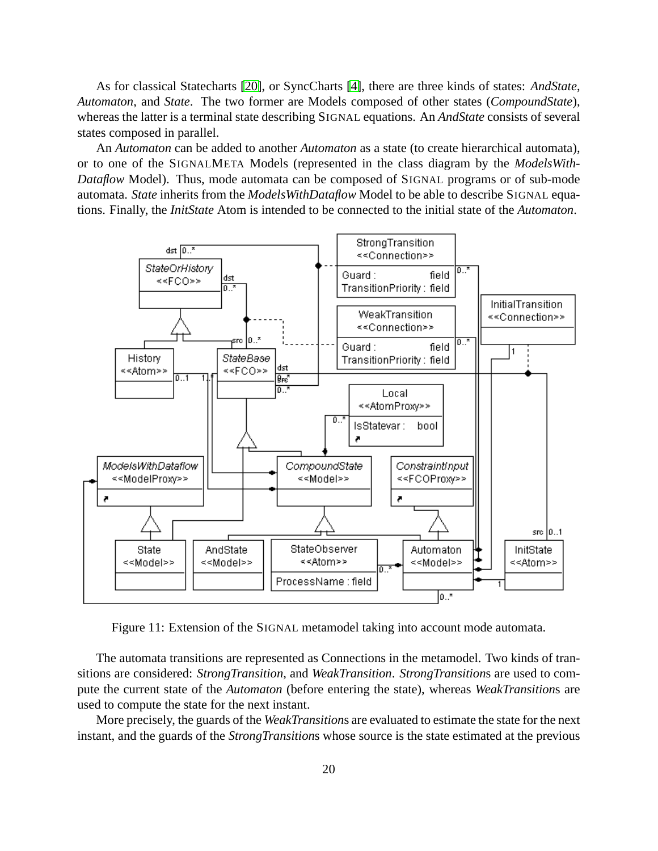As for classical Statecharts [\[20\]](#page-37-2), or SyncCharts [\[4\]](#page-36-1), there are three kinds of states: *AndState*, *Automaton*, and *State*. The two former are Models composed of other states (*CompoundState*), whereas the latter is a terminal state describing SIGNAL equations. An *AndState* consists of several states composed in parallel.

An *Automaton* can be added to another *Automaton* as a state (to create hierarchical automata), or to one of the SIGNALMETA Models (represented in the class diagram by the *ModelsWith-Dataflow* Model). Thus, mode automata can be composed of SIGNAL programs or of sub-mode automata. *State* inherits from the *ModelsWithDataflow* Model to be able to describe SIGNAL equations. Finally, the *InitState* Atom is intended to be connected to the initial state of the *Automaton*.



<span id="page-19-0"></span>Figure 11: Extension of the SIGNAL metamodel taking into account mode automata.

The automata transitions are represented as Connections in the metamodel. Two kinds of transitions are considered: *StrongTransition*, and *WeakTransition*. *StrongTransition*s are used to compute the current state of the *Automaton* (before entering the state), whereas *WeakTransition*s are used to compute the state for the next instant.

More precisely, the guards of the *WeakTransition*s are evaluated to estimate the state for the next instant, and the guards of the *StrongTransition*s whose source is the state estimated at the previous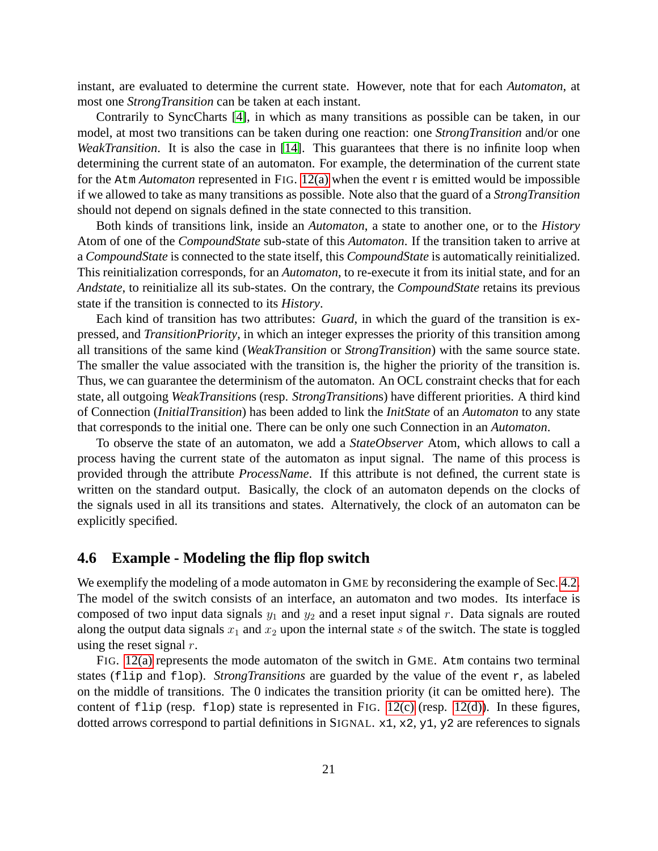instant, are evaluated to determine the current state. However, note that for each *Automaton*, at most one *StrongTransition* can be taken at each instant.

Contrarily to SyncCharts [\[4\]](#page-36-1), in which as many transitions as possible can be taken, in our model, at most two transitions can be taken during one reaction: one *StrongTransition* and/or one *WeakTransition*. It is also the case in [\[14\]](#page-37-7). This guarantees that there is no infinite loop when determining the current state of an automaton. For example, the determination of the current state for the Atm *Automaton* represented in FIG. [12\(a\)](#page-21-2) when the event r is emitted would be impossible if we allowed to take as many transitions as possible. Note also that the guard of a *StrongTransition* should not depend on signals defined in the state connected to this transition.

Both kinds of transitions link, inside an *Automaton*, a state to another one, or to the *History* Atom of one of the *CompoundState* sub-state of this *Automaton*. If the transition taken to arrive at a *CompoundState* is connected to the state itself, this *CompoundState* is automatically reinitialized. This reinitialization corresponds, for an *Automaton*, to re-execute it from its initial state, and for an *Andstate*, to reinitialize all its sub-states. On the contrary, the *CompoundState* retains its previous state if the transition is connected to its *History*.

Each kind of transition has two attributes: *Guard*, in which the guard of the transition is expressed, and *TransitionPriority*, in which an integer expresses the priority of this transition among all transitions of the same kind (*WeakTransition* or *StrongTransition*) with the same source state. The smaller the value associated with the transition is, the higher the priority of the transition is. Thus, we can guarantee the determinism of the automaton. An OCL constraint checks that for each state, all outgoing *WeakTransition*s (resp. *StrongTransition*s) have different priorities. A third kind of Connection (*InitialTransition*) has been added to link the *InitState* of an *Automaton* to any state that corresponds to the initial one. There can be only one such Connection in an *Automaton*.

To observe the state of an automaton, we add a *StateObserver* Atom, which allows to call a process having the current state of the automaton as input signal. The name of this process is provided through the attribute *ProcessName*. If this attribute is not defined, the current state is written on the standard output. Basically, the clock of an automaton depends on the clocks of the signals used in all its transitions and states. Alternatively, the clock of an automaton can be explicitly specified.

#### **4.6 Example - Modeling the flip flop switch**

We exemplify the modeling of a mode automaton in GME by reconsidering the example of Sec. [4.2.](#page-16-1) The model of the switch consists of an interface, an automaton and two modes. Its interface is composed of two input data signals  $y_1$  and  $y_2$  and a reset input signal r. Data signals are routed along the output data signals  $x_1$  and  $x_2$  upon the internal state s of the switch. The state is toggled using the reset signal  $r$ .

FIG. [12\(a\)](#page-21-2) represents the mode automaton of the switch in GME. Atm contains two terminal states (flip and flop). *StrongTransitions* are guarded by the value of the event r, as labeled on the middle of transitions. The 0 indicates the transition priority (it can be omitted here). The content of  $f$ lip (resp.  $f$ lop) state is represented in FIG. [12\(c\)](#page-21-3) (resp. [12\(d\)\)](#page-21-4). In these figures, dotted arrows correspond to partial definitions in SIGNAL.  $x_1$ ,  $x_2$ ,  $y_1$ ,  $y_2$  are references to signals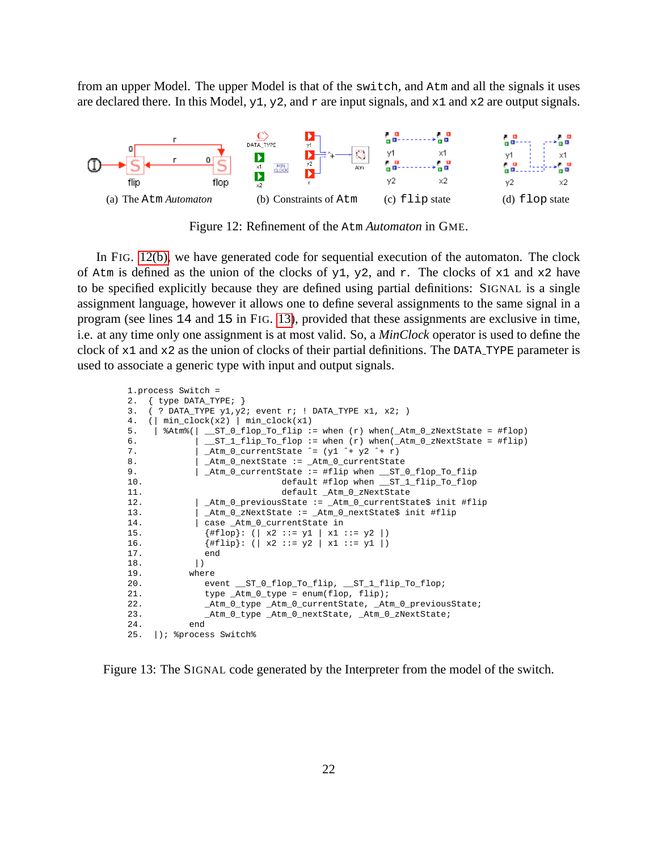from an upper Model. The upper Model is that of the switch, and Atm and all the signals it uses are declared there. In this Model,  $y_1, y_2$ , and r are input signals, and  $x_1$  and  $x_2$  are output signals.

<span id="page-21-2"></span>

<span id="page-21-5"></span><span id="page-21-4"></span><span id="page-21-3"></span><span id="page-21-0"></span>Figure 12: Refinement of the Atm *Automaton* in GME.

In FIG. [12\(b\),](#page-21-5) we have generated code for sequential execution of the automaton. The clock of Atm is defined as the union of the clocks of  $y1$ ,  $y2$ , and r. The clocks of  $x1$  and  $x2$  have to be specified explicitly because they are defined using partial definitions: SIGNAL is a single assignment language, however it allows one to define several assignments to the same signal in a program (see lines 14 and 15 in FIG. [13\)](#page-21-1), provided that these assignments are exclusive in time, i.e. at any time only one assignment is at most valid. So, a *MinClock* operator is used to define the clock of  $x1$  and  $x2$  as the union of clocks of their partial definitions. The DATA TYPE parameter is used to associate a generic type with input and output signals.

```
1.process Switch =
2. { type DATA_TYPE; }
3. ( ? DATA_TYPE y1,y2; event r; ! DATA_TYPE x1, x2; )
4. (| min_clock(x2) | min_clock(x1)
5. | \t{3Atm%}| \_\ST_0_flop\_T_0_flip := \text{when} (r) \text{when} (\_\Atm_0\_zNextState = \#flop)6. \vert _ST_1_flip_To_flop := when (r) when(_Atm_0_zNextState = #flip)
7. |\quad \text{Atm\_0\_currentState} \sim (y1 \rightarrow y2 \rightarrow r)8. \vert _Atm_0_nextState := _Atm_0_currentState
9. \vert Atm_0_currentState := #flip when __ST_0_flop_To_flip
10. \text{default \#flop when } \_\text{ST\_1\_flip\_To\_flop}11. default _Atm_0_zNextState
12. | _Atm_0_previousState := _Atm_0_currentState$ init #flip
13. | _Atm_0_zNextState := _Atm_0_nextState$ init #flip
14. \vert case _Atm_0_currentState in
15. {#flop}: (| x2 := y1 | x1 ::= y2 |)16. \{\text{#flip}\}: (| x2 ::= y2 | x1 ::= y1 |)
17. end
18. |)
           where
20. event __ST_0_flop_To_flip, __ST_1_flip_To_flop;
21. type _Atm_0_type = enum(flop, flip);
22. _Atm_0_type _Atm_0_currentState, _Atm_0_previousState;
23. \text{Atm\_0\_type\_Atm\_0\_nextState}, \text{Atm\_0\_zNextState};<br>24. end
24.25. |); %process Switch%
```
<span id="page-21-1"></span>Figure 13: The SIGNAL code generated by the Interpreter from the model of the switch.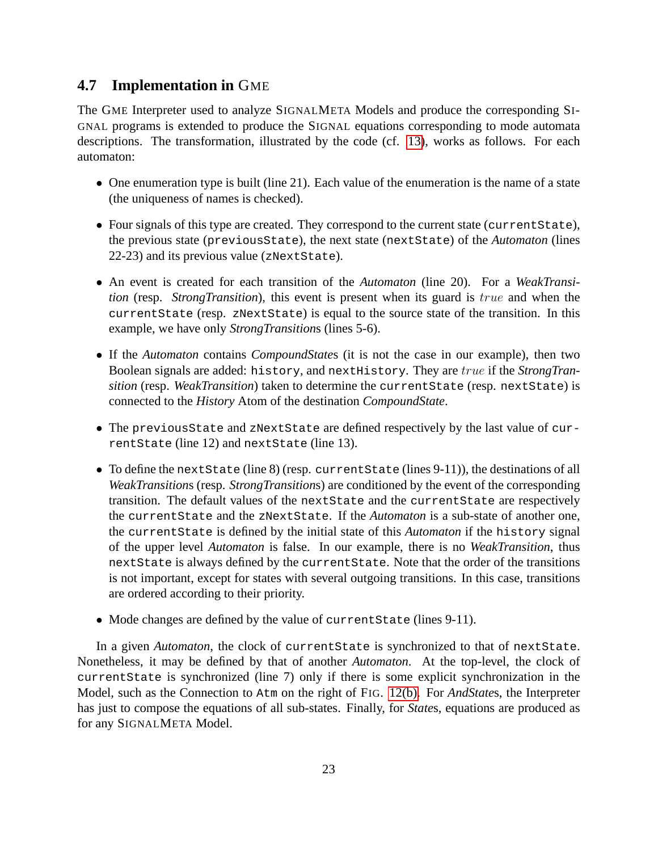## **4.7 Implementation in** GME

The GME Interpreter used to analyze SIGNALMETA Models and produce the corresponding SI-GNAL programs is extended to produce the SIGNAL equations corresponding to mode automata descriptions. The transformation, illustrated by the code (cf. [13\)](#page-21-1), works as follows. For each automaton:

- One enumeration type is built (line 21). Each value of the enumeration is the name of a state (the uniqueness of names is checked).
- Four signals of this type are created. They correspond to the current state (current State), the previous state (previousState), the next state (nextState) of the *Automaton* (lines 22-23) and its previous value (zNextState).
- An event is created for each transition of the *Automaton* (line 20). For a *WeakTransition* (resp. *StrongTransition*), this event is present when its guard is true and when the currentState (resp. zNextState) is equal to the source state of the transition. In this example, we have only *StrongTransition*s (lines 5-6).
- If the *Automaton* contains *CompoundState*s (it is not the case in our example), then two Boolean signals are added: history, and nextHistory. They are true if the *StrongTransition* (resp. *WeakTransition*) taken to determine the currentState (resp. nextState) is connected to the *History* Atom of the destination *CompoundState*.
- The previous State and zNext State are defined respectively by the last value of currentState (line 12) and nextState (line 13).
- To define the next State (line 8) (resp. current State (lines 9-11)), the destinations of all *WeakTransition*s (resp. *StrongTransition*s) are conditioned by the event of the corresponding transition. The default values of the nextState and the currentState are respectively the currentState and the zNextState. If the *Automaton* is a sub-state of another one, the currentState is defined by the initial state of this *Automaton* if the history signal of the upper level *Automaton* is false. In our example, there is no *WeakTransition*, thus nextState is always defined by the currentState. Note that the order of the transitions is not important, except for states with several outgoing transitions. In this case, transitions are ordered according to their priority.
- Mode changes are defined by the value of currentState (lines 9-11).

In a given *Automaton*, the clock of currentState is synchronized to that of nextState. Nonetheless, it may be defined by that of another *Automaton*. At the top-level, the clock of currentState is synchronized (line 7) only if there is some explicit synchronization in the Model, such as the Connection to Atm on the right of FIG. [12\(b\).](#page-21-5) For *AndState*s, the Interpreter has just to compose the equations of all sub-states. Finally, for *State*s, equations are produced as for any SIGNALMETA Model.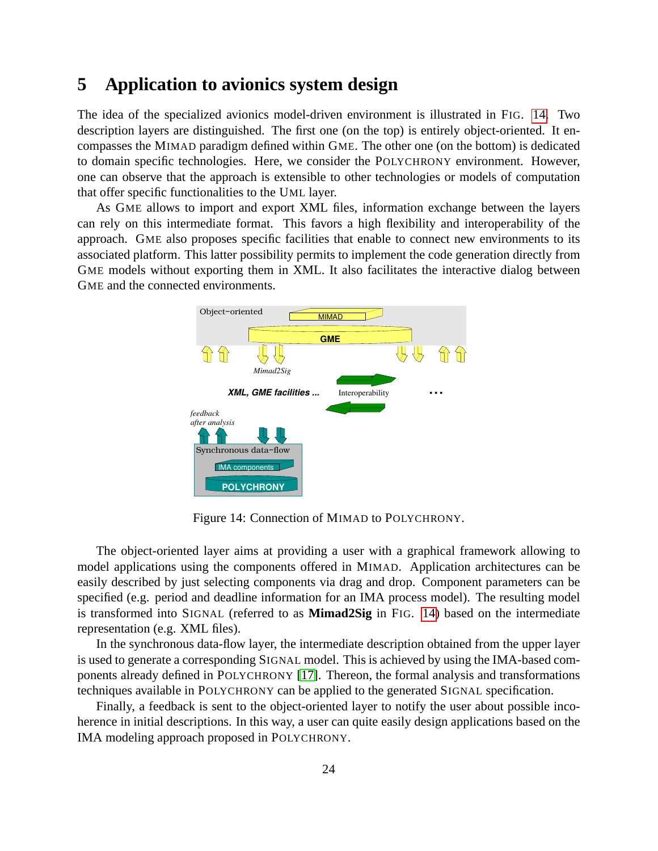# <span id="page-23-0"></span>**5 Application to avionics system design**

The idea of the specialized avionics model-driven environment is illustrated in FIG. [14.](#page-23-1) Two description layers are distinguished. The first one (on the top) is entirely object-oriented. It encompasses the MIMAD paradigm defined within GME. The other one (on the bottom) is dedicated to domain specific technologies. Here, we consider the POLYCHRONY environment. However, one can observe that the approach is extensible to other technologies or models of computation that offer specific functionalities to the UML layer.

As GME allows to import and export XML files, information exchange between the layers can rely on this intermediate format. This favors a high flexibility and interoperability of the approach. GME also proposes specific facilities that enable to connect new environments to its associated platform. This latter possibility permits to implement the code generation directly from GME models without exporting them in XML. It also facilitates the interactive dialog between GME and the connected environments.



<span id="page-23-1"></span>Figure 14: Connection of MIMAD to POLYCHRONY.

The object-oriented layer aims at providing a user with a graphical framework allowing to model applications using the components offered in MIMAD. Application architectures can be easily described by just selecting components via drag and drop. Component parameters can be specified (e.g. period and deadline information for an IMA process model). The resulting model is transformed into SIGNAL (referred to as **Mimad2Sig** in FIG. [14\)](#page-23-1) based on the intermediate representation (e.g. XML files).

In the synchronous data-flow layer, the intermediate description obtained from the upper layer is used to generate a corresponding SIGNAL model. This is achieved by using the IMA-based components already defined in POLYCHRONY [\[17\]](#page-37-8). Thereon, the formal analysis and transformations techniques available in POLYCHRONY can be applied to the generated SIGNAL specification.

Finally, a feedback is sent to the object-oriented layer to notify the user about possible incoherence in initial descriptions. In this way, a user can quite easily design applications based on the IMA modeling approach proposed in POLYCHRONY.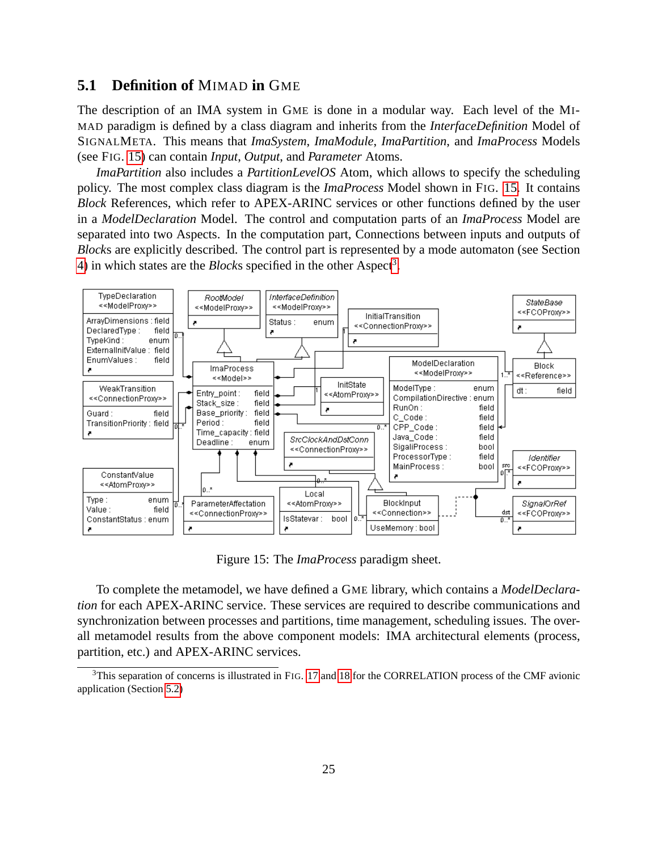## **5.1 Definition of** MIMAD **in** GME

The description of an IMA system in GME is done in a modular way. Each level of the MI-MAD paradigm is defined by a class diagram and inherits from the *InterfaceDefinition* Model of SIGNALMETA. This means that *ImaSystem*, *ImaModule*, *ImaPartition*, and *ImaProcess* Models (see FIG. [15\)](#page-24-0) can contain *Input*, *Output*, and *Parameter* Atoms.

*ImaPartition* also includes a *PartitionLevelOS* Atom, which allows to specify the scheduling policy. The most complex class diagram is the *ImaProcess* Model shown in FIG. [15.](#page-24-0) It contains *Block* References, which refer to APEX-ARINC services or other functions defined by the user in a *ModelDeclaration* Model. The control and computation parts of an *ImaProcess* Model are separated into two Aspects. In the computation part, Connections between inputs and outputs of *Block*s are explicitly described. The control part is represented by a mode automaton (see Section [4\)](#page-16-0) in which states are the *Blocks* specified in the other Aspect<sup>[3](#page-24-1)</sup>.



<span id="page-24-0"></span>Figure 15: The *ImaProcess* paradigm sheet.

To complete the metamodel, we have defined a GME library, which contains a *ModelDeclaration* for each APEX-ARINC service. These services are required to describe communications and synchronization between processes and partitions, time management, scheduling issues. The overall metamodel results from the above component models: IMA architectural elements (process, partition, etc.) and APEX-ARINC services.

<span id="page-24-1"></span> $3$ This separation of concerns is illustrated in FIG. [17](#page-26-0) and [18](#page-27-1) for the CORRELATION process of the CMF avionic application (Section [5.2\)](#page-25-0)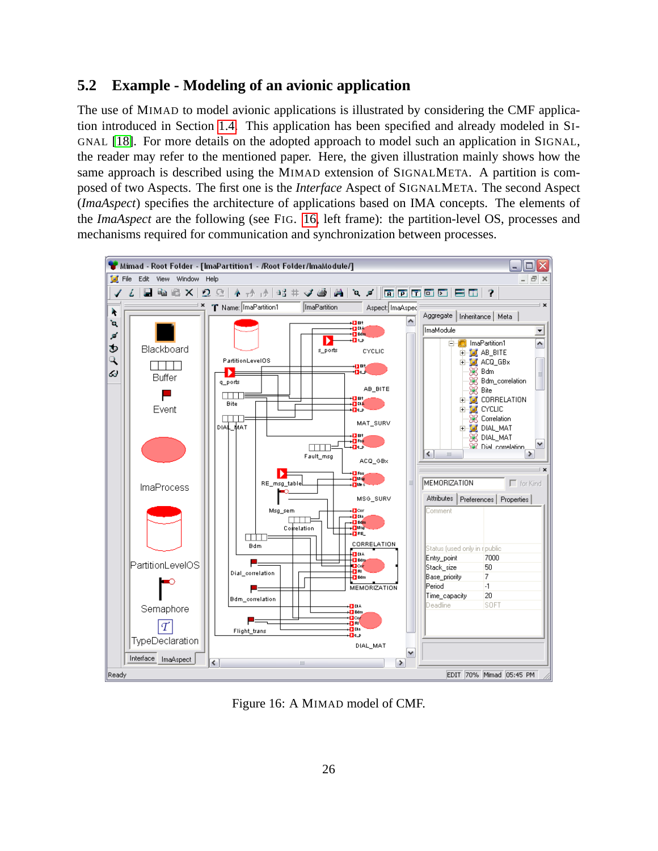## <span id="page-25-0"></span>**5.2 Example - Modeling of an avionic application**

The use of MIMAD to model avionic applications is illustrated by considering the CMF application introduced in Section [1.4.](#page-3-0) This application has been specified and already modeled in SI-GNAL [\[18\]](#page-37-9). For more details on the adopted approach to model such an application in SIGNAL, the reader may refer to the mentioned paper. Here, the given illustration mainly shows how the same approach is described using the MIMAD extension of SIGNALMETA. A partition is composed of two Aspects. The first one is the *Interface* Aspect of SIGNALMETA. The second Aspect (*ImaAspect*) specifies the architecture of applications based on IMA concepts. The elements of the *ImaAspect* are the following (see FIG. [16,](#page-25-1) left frame): the partition-level OS, processes and mechanisms required for communication and synchronization between processes.



<span id="page-25-1"></span>Figure 16: A MIMAD model of CMF.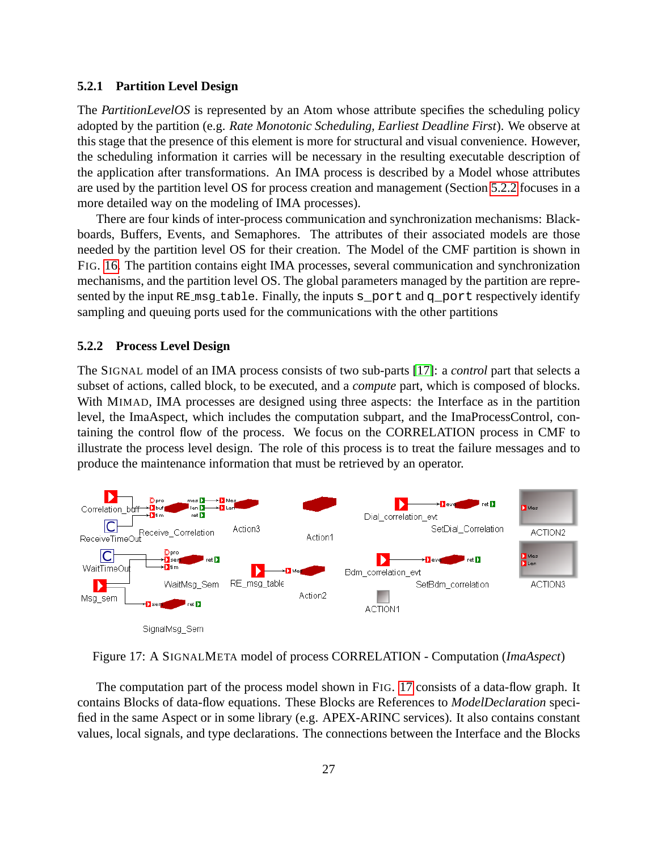#### **5.2.1 Partition Level Design**

The *PartitionLevelOS* is represented by an Atom whose attribute specifies the scheduling policy adopted by the partition (e.g. *Rate Monotonic Scheduling, Earliest Deadline First*). We observe at this stage that the presence of this element is more for structural and visual convenience. However, the scheduling information it carries will be necessary in the resulting executable description of the application after transformations. An IMA process is described by a Model whose attributes are used by the partition level OS for process creation and management (Section [5.2.2](#page-26-1) focuses in a more detailed way on the modeling of IMA processes).

There are four kinds of inter-process communication and synchronization mechanisms: Blackboards, Buffers, Events, and Semaphores. The attributes of their associated models are those needed by the partition level OS for their creation. The Model of the CMF partition is shown in FIG. [16.](#page-25-1) The partition contains eight IMA processes, several communication and synchronization mechanisms, and the partition level OS. The global parameters managed by the partition are represented by the input  $RE_m$  sq\_table. Finally, the inputs s\_port and q\_port respectively identify sampling and queuing ports used for the communications with the other partitions

#### <span id="page-26-1"></span>**5.2.2 Process Level Design**

The SIGNAL model of an IMA process consists of two sub-parts [\[17\]](#page-37-8): a *control* part that selects a subset of actions, called block, to be executed, and a *compute* part, which is composed of blocks. With MIMAD, IMA processes are designed using three aspects: the Interface as in the partition level, the ImaAspect, which includes the computation subpart, and the ImaProcessControl, containing the control flow of the process. We focus on the CORRELATION process in CMF to illustrate the process level design. The role of this process is to treat the failure messages and to produce the maintenance information that must be retrieved by an operator.



<span id="page-26-0"></span>Figure 17: A SIGNALMETA model of process CORRELATION - Computation (*ImaAspect*)

The computation part of the process model shown in FIG. [17](#page-26-0) consists of a data-flow graph. It contains Blocks of data-flow equations. These Blocks are References to *ModelDeclaration* specified in the same Aspect or in some library (e.g. APEX-ARINC services). It also contains constant values, local signals, and type declarations. The connections between the Interface and the Blocks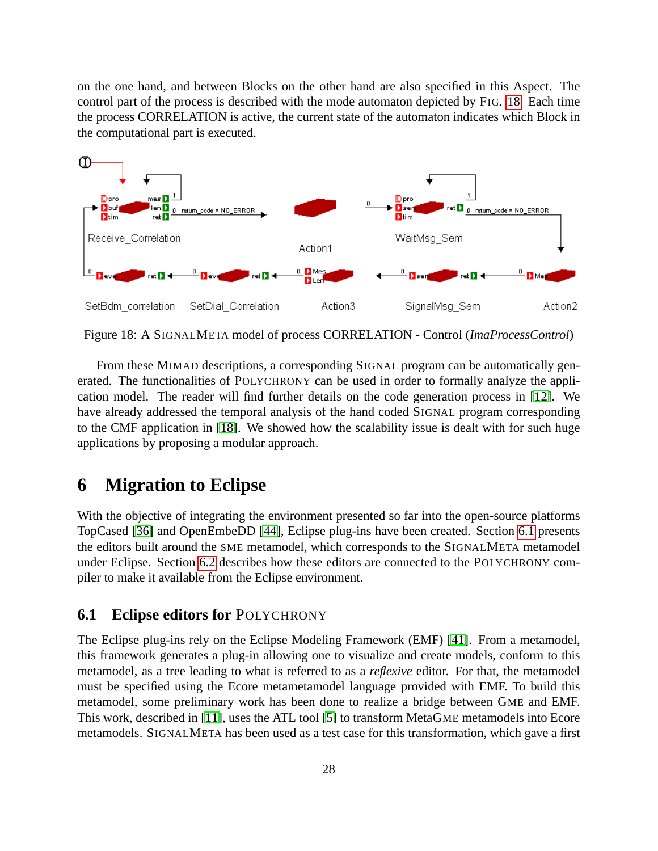on the one hand, and between Blocks on the other hand are also specified in this Aspect. The control part of the process is described with the mode automaton depicted by FIG. [18.](#page-27-1) Each time the process CORRELATION is active, the current state of the automaton indicates which Block in the computational part is executed.



<span id="page-27-1"></span>Figure 18: A SIGNALMETA model of process CORRELATION - Control (*ImaProcessControl*)

From these MIMAD descriptions, a corresponding SIGNAL program can be automatically generated. The functionalities of POLYCHRONY can be used in order to formally analyze the application model. The reader will find further details on the code generation process in [\[12\]](#page-37-10). We have already addressed the temporal analysis of the hand coded SIGNAL program corresponding to the CMF application in [\[18\]](#page-37-9). We showed how the scalability issue is dealt with for such huge applications by proposing a modular approach.

## <span id="page-27-0"></span>**6 Migration to Eclipse**

With the objective of integrating the environment presented so far into the open-source platforms TopCased [\[36\]](#page-38-7) and OpenEmbeDD [\[44\]](#page-39-4), Eclipse plug-ins have been created. Section [6.1](#page-27-2) presents the editors built around the SME metamodel, which corresponds to the SIGNALMETA metamodel under Eclipse. Section [6.2](#page-29-0) describes how these editors are connected to the POLYCHRONY compiler to make it available from the Eclipse environment.

### <span id="page-27-2"></span>**6.1 Eclipse editors for** POLYCHRONY

The Eclipse plug-ins rely on the Eclipse Modeling Framework (EMF) [\[41\]](#page-39-5). From a metamodel, this framework generates a plug-in allowing one to visualize and create models, conform to this metamodel, as a tree leading to what is referred to as a *reflexive* editor. For that, the metamodel must be specified using the Ecore metametamodel language provided with EMF. To build this metamodel, some preliminary work has been done to realize a bridge between GME and EMF. This work, described in [\[11\]](#page-37-11), uses the ATL tool [\[5\]](#page-36-5) to transform MetaGME metamodels into Ecore metamodels. SIGNALMETA has been used as a test case for this transformation, which gave a first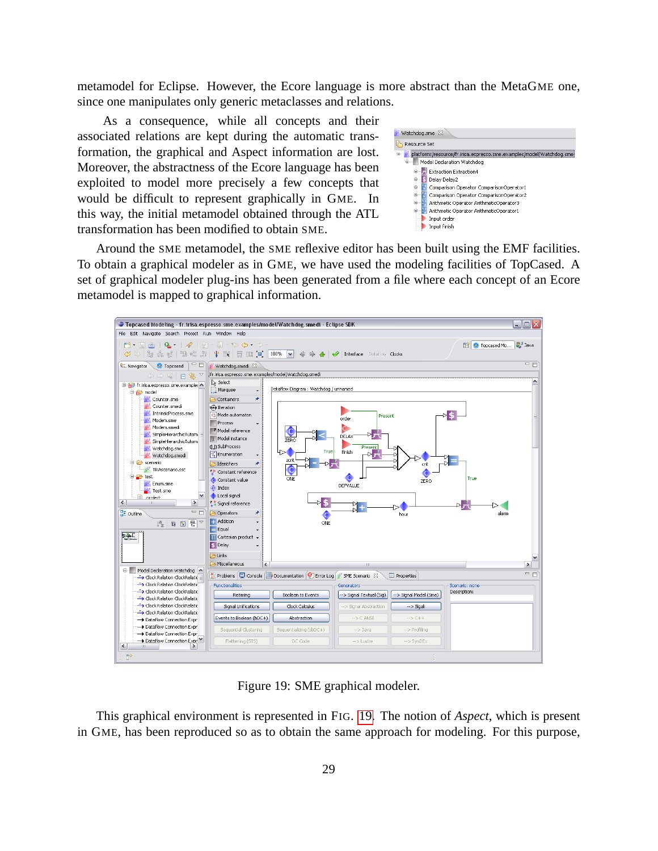metamodel for Eclipse. However, the Ecore language is more abstract than the MetaGME one, since one manipulates only generic metaclasses and relations.

As a consequence, while all concepts and their associated relations are kept during the automatic transformation, the graphical and Aspect information are lost. Moreover, the abstractness of the Ecore language has been exploited to model more precisely a few concepts that would be difficult to represent graphically in GME. In this way, the initial metamodel obtained through the ATL transformation has been modified to obtain SME.



Around the SME metamodel, the SME reflexive editor has been built using the EMF facilities. To obtain a graphical modeler as in GME, we have used the modeling facilities of TopCased. A set of graphical modeler plug-ins has been generated from a file where each concept of an Ecore metamodel is mapped to graphical information.



<span id="page-28-0"></span>Figure 19: SME graphical modeler.

This graphical environment is represented in FIG. [19.](#page-28-0) The notion of *Aspect*, which is present in GME, has been reproduced so as to obtain the same approach for modeling. For this purpose,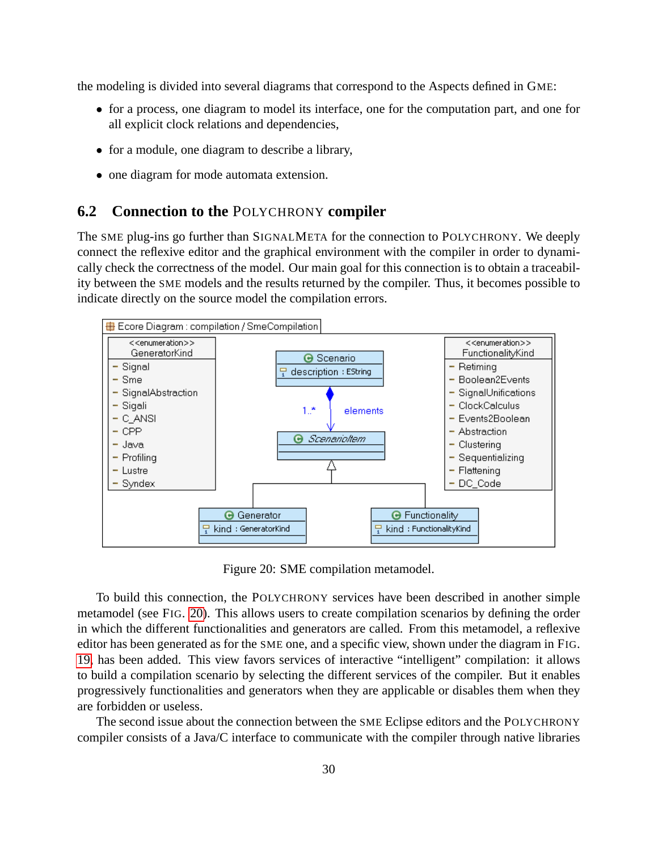the modeling is divided into several diagrams that correspond to the Aspects defined in GME:

- for a process, one diagram to model its interface, one for the computation part, and one for all explicit clock relations and dependencies,
- for a module, one diagram to describe a library,
- one diagram for mode automata extension.

## <span id="page-29-0"></span>**6.2 Connection to the** POLYCHRONY **compiler**

The SME plug-ins go further than SIGNALMETA for the connection to POLYCHRONY. We deeply connect the reflexive editor and the graphical environment with the compiler in order to dynamically check the correctness of the model. Our main goal for this connection is to obtain a traceability between the SME models and the results returned by the compiler. Thus, it becomes possible to indicate directly on the source model the compilation errors.



<span id="page-29-1"></span>Figure 20: SME compilation metamodel.

To build this connection, the POLYCHRONY services have been described in another simple metamodel (see FIG. [20\)](#page-29-1). This allows users to create compilation scenarios by defining the order in which the different functionalities and generators are called. From this metamodel, a reflexive editor has been generated as for the SME one, and a specific view, shown under the diagram in FIG. [19,](#page-28-0) has been added. This view favors services of interactive "intelligent" compilation: it allows to build a compilation scenario by selecting the different services of the compiler. But it enables progressively functionalities and generators when they are applicable or disables them when they are forbidden or useless.

The second issue about the connection between the SME Eclipse editors and the POLYCHRONY compiler consists of a Java/C interface to communicate with the compiler through native libraries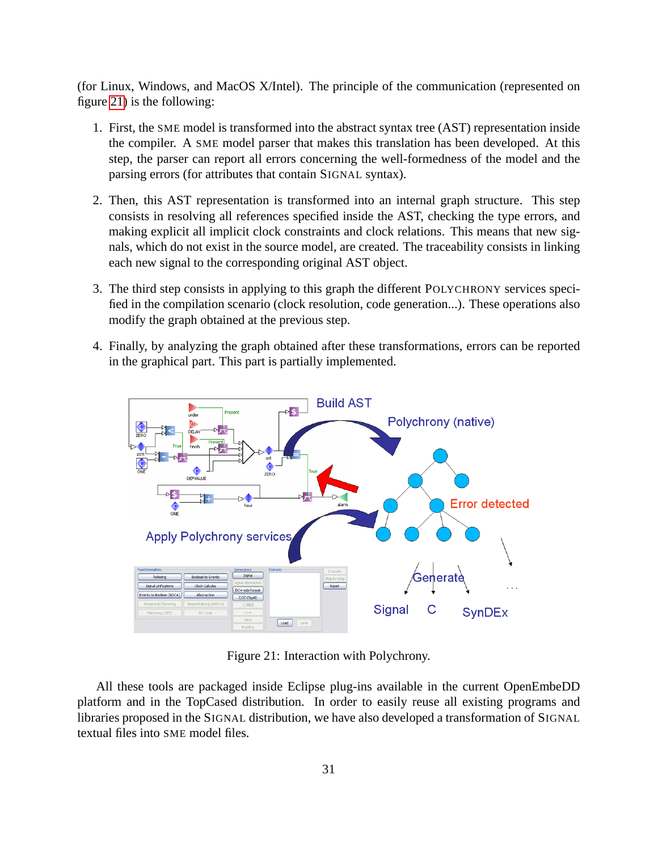(for Linux, Windows, and MacOS X/Intel). The principle of the communication (represented on figure [21\)](#page-30-0) is the following:

- 1. First, the SME model is transformed into the abstract syntax tree (AST) representation inside the compiler. A SME model parser that makes this translation has been developed. At this step, the parser can report all errors concerning the well-formedness of the model and the parsing errors (for attributes that contain SIGNAL syntax).
- 2. Then, this AST representation is transformed into an internal graph structure. This step consists in resolving all references specified inside the AST, checking the type errors, and making explicit all implicit clock constraints and clock relations. This means that new signals, which do not exist in the source model, are created. The traceability consists in linking each new signal to the corresponding original AST object.
- 3. The third step consists in applying to this graph the different POLYCHRONY services specified in the compilation scenario (clock resolution, code generation...). These operations also modify the graph obtained at the previous step.
- 4. Finally, by analyzing the graph obtained after these transformations, errors can be reported in the graphical part. This part is partially implemented.



<span id="page-30-0"></span>Figure 21: Interaction with Polychrony.

All these tools are packaged inside Eclipse plug-ins available in the current OpenEmbeDD platform and in the TopCased distribution. In order to easily reuse all existing programs and libraries proposed in the SIGNAL distribution, we have also developed a transformation of SIGNAL textual files into SME model files.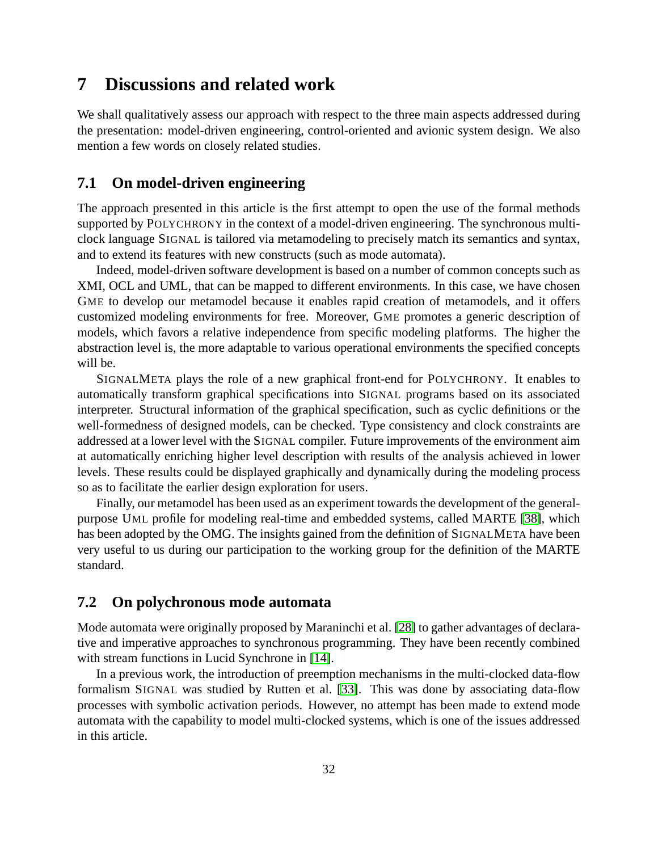# <span id="page-31-0"></span>**7 Discussions and related work**

We shall qualitatively assess our approach with respect to the three main aspects addressed during the presentation: model-driven engineering, control-oriented and avionic system design. We also mention a few words on closely related studies.

## **7.1 On model-driven engineering**

The approach presented in this article is the first attempt to open the use of the formal methods supported by POLYCHRONY in the context of a model-driven engineering. The synchronous multiclock language SIGNAL is tailored via metamodeling to precisely match its semantics and syntax, and to extend its features with new constructs (such as mode automata).

Indeed, model-driven software development is based on a number of common concepts such as XMI, OCL and UML, that can be mapped to different environments. In this case, we have chosen GME to develop our metamodel because it enables rapid creation of metamodels, and it offers customized modeling environments for free. Moreover, GME promotes a generic description of models, which favors a relative independence from specific modeling platforms. The higher the abstraction level is, the more adaptable to various operational environments the specified concepts will be.

SIGNALMETA plays the role of a new graphical front-end for POLYCHRONY. It enables to automatically transform graphical specifications into SIGNAL programs based on its associated interpreter. Structural information of the graphical specification, such as cyclic definitions or the well-formedness of designed models, can be checked. Type consistency and clock constraints are addressed at a lower level with the SIGNAL compiler. Future improvements of the environment aim at automatically enriching higher level description with results of the analysis achieved in lower levels. These results could be displayed graphically and dynamically during the modeling process so as to facilitate the earlier design exploration for users.

Finally, our metamodel has been used as an experiment towards the development of the generalpurpose UML profile for modeling real-time and embedded systems, called MARTE [\[38\]](#page-39-6), which has been adopted by the OMG. The insights gained from the definition of SIGNALMETA have been very useful to us during our participation to the working group for the definition of the MARTE standard.

### **7.2 On polychronous mode automata**

Mode automata were originally proposed by Maraninchi et al. [\[28\]](#page-38-4) to gather advantages of declarative and imperative approaches to synchronous programming. They have been recently combined with stream functions in Lucid Synchrone in [\[14\]](#page-37-7).

In a previous work, the introduction of preemption mechanisms in the multi-clocked data-flow formalism SIGNAL was studied by Rutten et al. [\[33\]](#page-38-8). This was done by associating data-flow processes with symbolic activation periods. However, no attempt has been made to extend mode automata with the capability to model multi-clocked systems, which is one of the issues addressed in this article.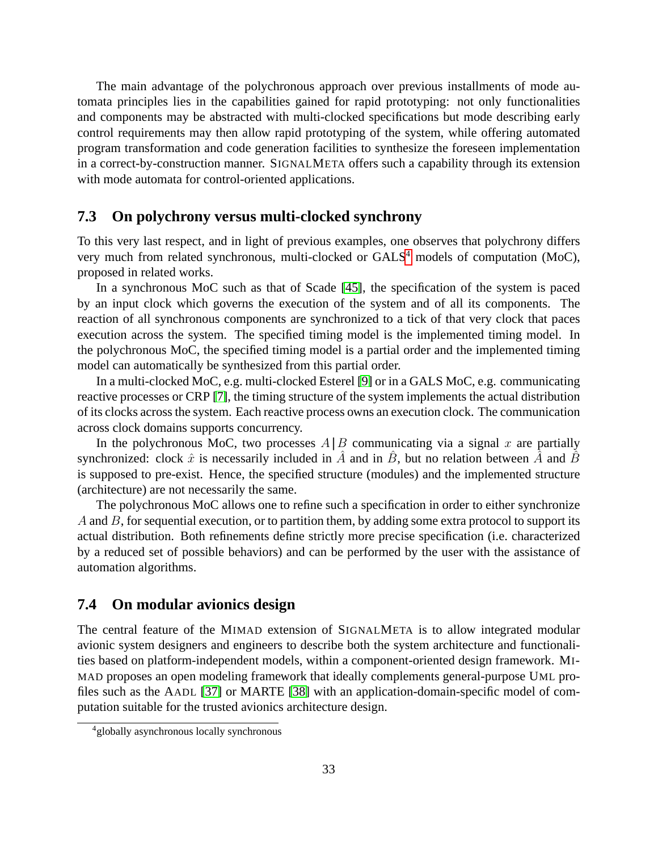The main advantage of the polychronous approach over previous installments of mode automata principles lies in the capabilities gained for rapid prototyping: not only functionalities and components may be abstracted with multi-clocked specifications but mode describing early control requirements may then allow rapid prototyping of the system, while offering automated program transformation and code generation facilities to synthesize the foreseen implementation in a correct-by-construction manner. SIGNALMETA offers such a capability through its extension with mode automata for control-oriented applications.

#### **7.3 On polychrony versus multi-clocked synchrony**

To this very last respect, and in light of previous examples, one observes that polychrony differs very much from related synchronous, multi-clocked or  $GALS<sup>4</sup>$  $GALS<sup>4</sup>$  $GALS<sup>4</sup>$  models of computation (MoC), proposed in related works.

In a synchronous MoC such as that of Scade [\[45\]](#page-39-3), the specification of the system is paced by an input clock which governs the execution of the system and of all its components. The reaction of all synchronous components are synchronized to a tick of that very clock that paces execution across the system. The specified timing model is the implemented timing model. In the polychronous MoC, the specified timing model is a partial order and the implemented timing model can automatically be synthesized from this partial order.

In a multi-clocked MoC, e.g. multi-clocked Esterel [\[9\]](#page-37-12) or in a GALS MoC, e.g. communicating reactive processes or CRP [\[7\]](#page-36-6), the timing structure of the system implements the actual distribution of its clocks across the system. Each reactive process owns an execution clock. The communication across clock domains supports concurrency.

In the polychronous MoC, two processes  $A \mid B$  communicating via a signal x are partially synchronized: clock  $\hat{x}$  is necessarily included in  $\hat{A}$  and in  $\hat{B}$ , but no relation between  $\hat{A}$  and  $\hat{B}$ is supposed to pre-exist. Hence, the specified structure (modules) and the implemented structure (architecture) are not necessarily the same.

The polychronous MoC allows one to refine such a specification in order to either synchronize A and  $B$ , for sequential execution, or to partition them, by adding some extra protocol to support its actual distribution. Both refinements define strictly more precise specification (i.e. characterized by a reduced set of possible behaviors) and can be performed by the user with the assistance of automation algorithms.

### **7.4 On modular avionics design**

The central feature of the MIMAD extension of SIGNALMETA is to allow integrated modular avionic system designers and engineers to describe both the system architecture and functionalities based on platform-independent models, within a component-oriented design framework. MI-MAD proposes an open modeling framework that ideally complements general-purpose UML profiles such as the AADL [\[37\]](#page-39-7) or MARTE [\[38\]](#page-39-6) with an application-domain-specific model of computation suitable for the trusted avionics architecture design.

<span id="page-32-0"></span><sup>4</sup>globally asynchronous locally synchronous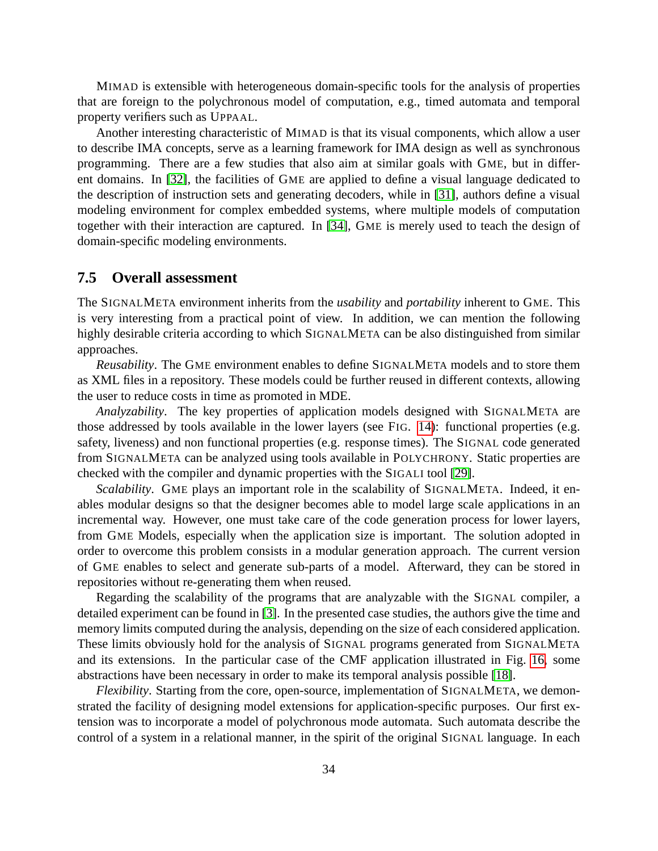MIMAD is extensible with heterogeneous domain-specific tools for the analysis of properties that are foreign to the polychronous model of computation, e.g., timed automata and temporal property verifiers such as UPPAAL.

Another interesting characteristic of MIMAD is that its visual components, which allow a user to describe IMA concepts, serve as a learning framework for IMA design as well as synchronous programming. There are a few studies that also aim at similar goals with GME, but in different domains. In [\[32\]](#page-38-9), the facilities of GME are applied to define a visual language dedicated to the description of instruction sets and generating decoders, while in [\[31\]](#page-38-10), authors define a visual modeling environment for complex embedded systems, where multiple models of computation together with their interaction are captured. In [\[34\]](#page-38-11), GME is merely used to teach the design of domain-specific modeling environments.

### **7.5 Overall assessment**

The SIGNALMETA environment inherits from the *usability* and *portability* inherent to GME. This is very interesting from a practical point of view. In addition, we can mention the following highly desirable criteria according to which SIGNALMETA can be also distinguished from similar approaches.

*Reusability*. The GME environment enables to define SIGNALMETA models and to store them as XML files in a repository. These models could be further reused in different contexts, allowing the user to reduce costs in time as promoted in MDE.

*Analyzability*. The key properties of application models designed with SIGNALMETA are those addressed by tools available in the lower layers (see FIG. [14\)](#page-23-1): functional properties (e.g. safety, liveness) and non functional properties (e.g. response times). The SIGNAL code generated from SIGNALMETA can be analyzed using tools available in POLYCHRONY. Static properties are checked with the compiler and dynamic properties with the SIGALI tool [\[29\]](#page-38-1).

*Scalability*. GME plays an important role in the scalability of SIGNALMETA. Indeed, it enables modular designs so that the designer becomes able to model large scale applications in an incremental way. However, one must take care of the code generation process for lower layers, from GME Models, especially when the application size is important. The solution adopted in order to overcome this problem consists in a modular generation approach. The current version of GME enables to select and generate sub-parts of a model. Afterward, they can be stored in repositories without re-generating them when reused.

Regarding the scalability of the programs that are analyzable with the SIGNAL compiler, a detailed experiment can be found in [\[3\]](#page-36-7). In the presented case studies, the authors give the time and memory limits computed during the analysis, depending on the size of each considered application. These limits obviously hold for the analysis of SIGNAL programs generated from SIGNALMETA and its extensions. In the particular case of the CMF application illustrated in Fig. [16,](#page-25-1) some abstractions have been necessary in order to make its temporal analysis possible [\[18\]](#page-37-9).

*Flexibility*. Starting from the core, open-source, implementation of SIGNALMETA, we demonstrated the facility of designing model extensions for application-specific purposes. Our first extension was to incorporate a model of polychronous mode automata. Such automata describe the control of a system in a relational manner, in the spirit of the original SIGNAL language. In each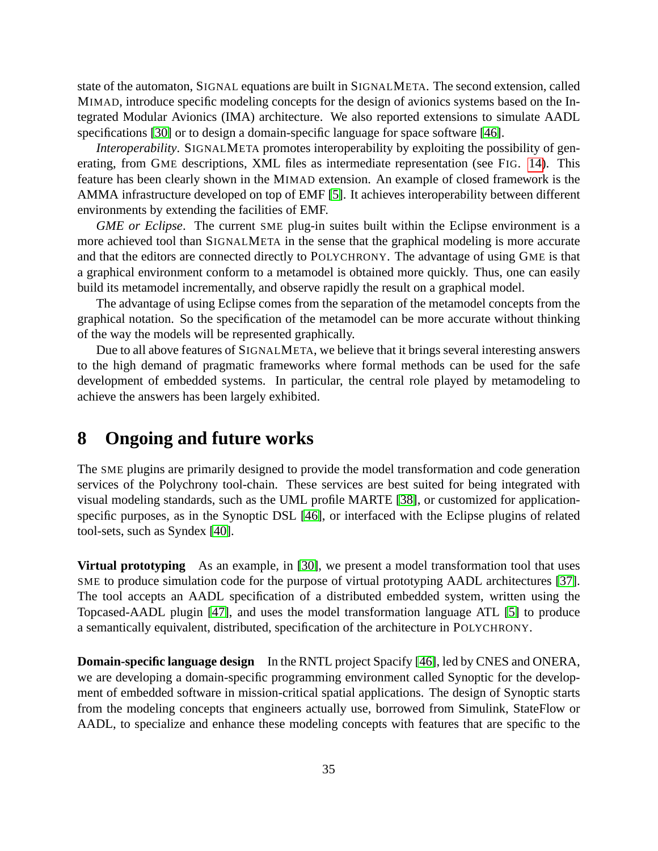state of the automaton, SIGNAL equations are built in SIGNALMETA. The second extension, called MIMAD, introduce specific modeling concepts for the design of avionics systems based on the Integrated Modular Avionics (IMA) architecture. We also reported extensions to simulate AADL specifications [\[30\]](#page-38-12) or to design a domain-specific language for space software [\[46\]](#page-39-8).

*Interoperability*. SIGNALMETA promotes interoperability by exploiting the possibility of generating, from GME descriptions, XML files as intermediate representation (see FIG. [14\)](#page-23-1). This feature has been clearly shown in the MIMAD extension. An example of closed framework is the AMMA infrastructure developed on top of EMF [\[5\]](#page-36-5). It achieves interoperability between different environments by extending the facilities of EMF.

*GME or Eclipse*. The current SME plug-in suites built within the Eclipse environment is a more achieved tool than SIGNALMETA in the sense that the graphical modeling is more accurate and that the editors are connected directly to POLYCHRONY. The advantage of using GME is that a graphical environment conform to a metamodel is obtained more quickly. Thus, one can easily build its metamodel incrementally, and observe rapidly the result on a graphical model.

The advantage of using Eclipse comes from the separation of the metamodel concepts from the graphical notation. So the specification of the metamodel can be more accurate without thinking of the way the models will be represented graphically.

Due to all above features of SIGNALMETA, we believe that it brings several interesting answers to the high demand of pragmatic frameworks where formal methods can be used for the safe development of embedded systems. In particular, the central role played by metamodeling to achieve the answers has been largely exhibited.

## <span id="page-34-0"></span>**8 Ongoing and future works**

The SME plugins are primarily designed to provide the model transformation and code generation services of the Polychrony tool-chain. These services are best suited for being integrated with visual modeling standards, such as the UML profile MARTE [\[38\]](#page-39-6), or customized for applicationspecific purposes, as in the Synoptic DSL [\[46\]](#page-39-8), or interfaced with the Eclipse plugins of related tool-sets, such as Syndex [\[40\]](#page-39-9).

**Virtual prototyping** As an example, in [\[30\]](#page-38-12), we present a model transformation tool that uses SME to produce simulation code for the purpose of virtual prototyping AADL architectures [\[37\]](#page-39-7). The tool accepts an AADL specification of a distributed embedded system, written using the Topcased-AADL plugin [\[47\]](#page-39-10), and uses the model transformation language ATL [\[5\]](#page-36-5) to produce a semantically equivalent, distributed, specification of the architecture in POLYCHRONY.

**Domain-specific language design** In the RNTL project Spacify [\[46\]](#page-39-8), led by CNES and ONERA, we are developing a domain-specific programming environment called Synoptic for the development of embedded software in mission-critical spatial applications. The design of Synoptic starts from the modeling concepts that engineers actually use, borrowed from Simulink, StateFlow or AADL, to specialize and enhance these modeling concepts with features that are specific to the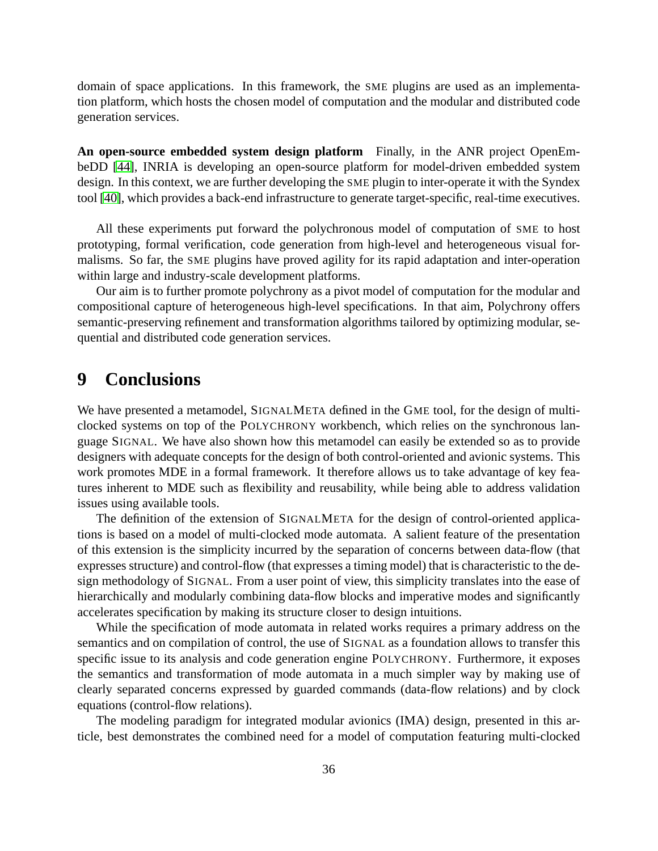domain of space applications. In this framework, the SME plugins are used as an implementation platform, which hosts the chosen model of computation and the modular and distributed code generation services.

**An open-source embedded system design platform** Finally, in the ANR project OpenEmbeDD [\[44\]](#page-39-4), INRIA is developing an open-source platform for model-driven embedded system design. In this context, we are further developing the SME plugin to inter-operate it with the Syndex tool [\[40\]](#page-39-9), which provides a back-end infrastructure to generate target-specific, real-time executives.

All these experiments put forward the polychronous model of computation of SME to host prototyping, formal verification, code generation from high-level and heterogeneous visual formalisms. So far, the SME plugins have proved agility for its rapid adaptation and inter-operation within large and industry-scale development platforms.

Our aim is to further promote polychrony as a pivot model of computation for the modular and compositional capture of heterogeneous high-level specifications. In that aim, Polychrony offers semantic-preserving refinement and transformation algorithms tailored by optimizing modular, sequential and distributed code generation services.

## <span id="page-35-0"></span>**9 Conclusions**

We have presented a metamodel, SIGNALMETA defined in the GME tool, for the design of multiclocked systems on top of the POLYCHRONY workbench, which relies on the synchronous language SIGNAL. We have also shown how this metamodel can easily be extended so as to provide designers with adequate concepts for the design of both control-oriented and avionic systems. This work promotes MDE in a formal framework. It therefore allows us to take advantage of key features inherent to MDE such as flexibility and reusability, while being able to address validation issues using available tools.

The definition of the extension of SIGNALMETA for the design of control-oriented applications is based on a model of multi-clocked mode automata. A salient feature of the presentation of this extension is the simplicity incurred by the separation of concerns between data-flow (that expresses structure) and control-flow (that expresses a timing model) that is characteristic to the design methodology of SIGNAL. From a user point of view, this simplicity translates into the ease of hierarchically and modularly combining data-flow blocks and imperative modes and significantly accelerates specification by making its structure closer to design intuitions.

While the specification of mode automata in related works requires a primary address on the semantics and on compilation of control, the use of SIGNAL as a foundation allows to transfer this specific issue to its analysis and code generation engine POLYCHRONY. Furthermore, it exposes the semantics and transformation of mode automata in a much simpler way by making use of clearly separated concerns expressed by guarded commands (data-flow relations) and by clock equations (control-flow relations).

The modeling paradigm for integrated modular avionics (IMA) design, presented in this article, best demonstrates the combined need for a model of computation featuring multi-clocked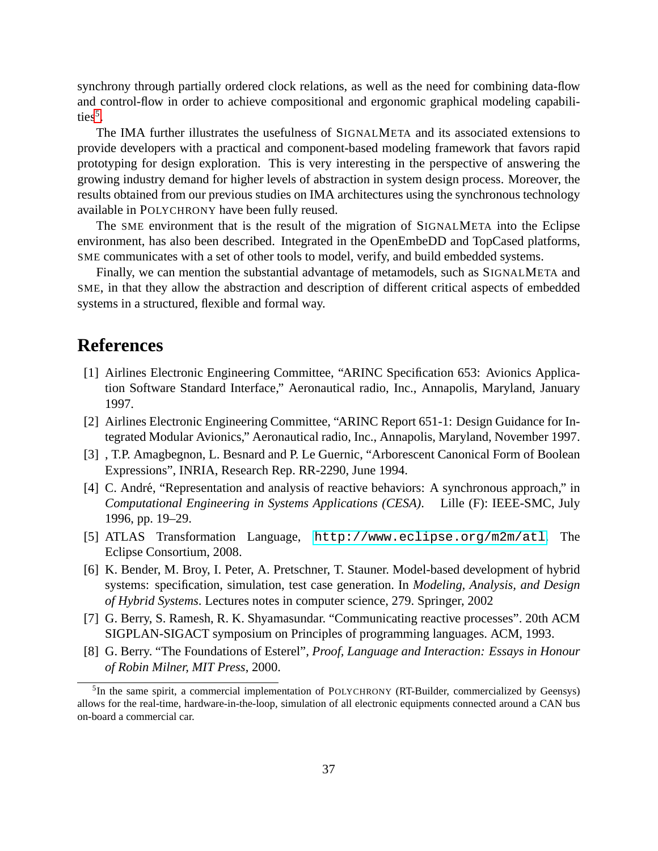synchrony through partially ordered clock relations, as well as the need for combining data-flow and control-flow in order to achieve compositional and ergonomic graphical modeling capabili-ties<sup>[5](#page-36-8)</sup>.

The IMA further illustrates the usefulness of SIGNALMETA and its associated extensions to provide developers with a practical and component-based modeling framework that favors rapid prototyping for design exploration. This is very interesting in the perspective of answering the growing industry demand for higher levels of abstraction in system design process. Moreover, the results obtained from our previous studies on IMA architectures using the synchronous technology available in POLYCHRONY have been fully reused.

The SME environment that is the result of the migration of SIGNALMETA into the Eclipse environment, has also been described. Integrated in the OpenEmbeDD and TopCased platforms, SME communicates with a set of other tools to model, verify, and build embedded systems.

Finally, we can mention the substantial advantage of metamodels, such as SIGNALMETA and SME, in that they allow the abstraction and description of different critical aspects of embedded systems in a structured, flexible and formal way.

# **References**

- <span id="page-36-3"></span>[1] Airlines Electronic Engineering Committee, "ARINC Specification 653: Avionics Application Software Standard Interface," Aeronautical radio, Inc., Annapolis, Maryland, January 1997.
- <span id="page-36-2"></span>[2] Airlines Electronic Engineering Committee, "ARINC Report 651-1: Design Guidance for Integrated Modular Avionics," Aeronautical radio, Inc., Annapolis, Maryland, November 1997.
- <span id="page-36-7"></span>[3] , T.P. Amagbegnon, L. Besnard and P. Le Guernic, "Arborescent Canonical Form of Boolean Expressions", INRIA, Research Rep. RR-2290, June 1994.
- <span id="page-36-1"></span>[4] C. André, "Representation and analysis of reactive behaviors: A synchronous approach," in *Computational Engineering in Systems Applications (CESA)*. Lille (F): IEEE-SMC, July 1996, pp. 19–29.
- <span id="page-36-5"></span>[5] ATLAS Transformation Language, <http://www.eclipse.org/m2m/atl>. The Eclipse Consortium, 2008.
- <span id="page-36-4"></span>[6] K. Bender, M. Broy, I. Peter, A. Pretschner, T. Stauner. Model-based development of hybrid systems: specification, simulation, test case generation. In *Modeling, Analysis, and Design of Hybrid Systems*. Lectures notes in computer science, 279. Springer, 2002
- <span id="page-36-6"></span>[7] G. Berry, S. Ramesh, R. K. Shyamasundar. "Communicating reactive processes". 20th ACM SIGPLAN-SIGACT symposium on Principles of programming languages. ACM, 1993.
- <span id="page-36-0"></span>[8] G. Berry. "The Foundations of Esterel", *Proof, Language and Interaction: Essays in Honour of Robin Milner, MIT Press*, 2000.

<span id="page-36-8"></span><sup>&</sup>lt;sup>5</sup>In the same spirit, a commercial implementation of POLYCHRONY (RT-Builder, commercialized by Geensys) allows for the real-time, hardware-in-the-loop, simulation of all electronic equipments connected around a CAN bus on-board a commercial car.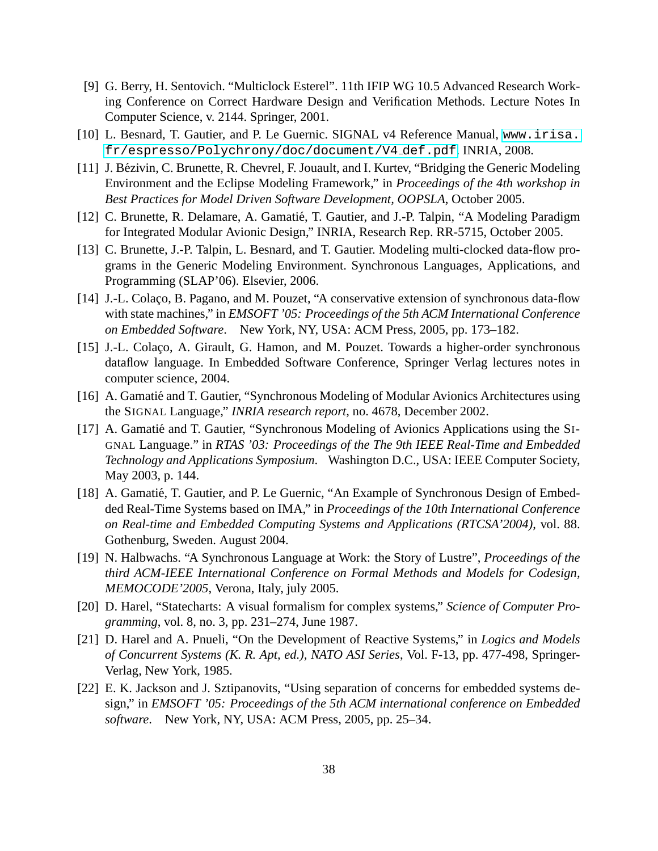- <span id="page-37-12"></span>[9] G. Berry, H. Sentovich. "Multiclock Esterel". 11th IFIP WG 10.5 Advanced Research Working Conference on Correct Hardware Design and Verification Methods. Lecture Notes In Computer Science, v. 2144. Springer, 2001.
- <span id="page-37-5"></span>[10] L. Besnard, T. Gautier, and P. Le Guernic. SIGNAL v4 Reference Manual, [www.irisa.](www.irisa.fr/espresso/Polychrony/doc/document/V4_def.pdf) [fr/espresso/Polychrony/doc/document/V4](www.irisa.fr/espresso/Polychrony/doc/document/V4_def.pdf) def.pdf. INRIA, 2008.
- <span id="page-37-11"></span>[11] J. Bezivin, C. Brunette, R. Chevrel, F. Jouault, and I. Kurtev, "Bridging the Generic Modeling ´ Environment and the Eclipse Modeling Framework," in *Proceedings of the 4th workshop in Best Practices for Model Driven Software Development, OOPSLA*, October 2005.
- <span id="page-37-10"></span>[12] C. Brunette, R. Delamare, A. Gamatié, T. Gautier, and J.-P. Talpin, "A Modeling Paradigm for Integrated Modular Avionic Design," INRIA, Research Rep. RR-5715, October 2005.
- <span id="page-37-4"></span>[13] C. Brunette, J.-P. Talpin, L. Besnard, and T. Gautier. Modeling multi-clocked data-flow programs in the Generic Modeling Environment. Synchronous Languages, Applications, and Programming (SLAP'06). Elsevier, 2006.
- <span id="page-37-7"></span>[14] J.-L. Colaço, B. Pagano, and M. Pouzet, "A conservative extension of synchronous data-flow with state machines," in *EMSOFT '05: Proceedings of the 5th ACM International Conference on Embedded Software*. New York, NY, USA: ACM Press, 2005, pp. 173–182.
- <span id="page-37-1"></span>[15] J.-L. Colaço, A. Girault, G. Hamon, and M. Pouzet. Towards a higher-order synchronous dataflow language. In Embedded Software Conference, Springer Verlag lectures notes in computer science, 2004.
- [16] A. Gamatié and T. Gautier, "Synchronous Modeling of Modular Avionics Architectures using the SIGNAL Language," *INRIA research report*, no. 4678, December 2002.
- <span id="page-37-8"></span>[17] A. Gamatié and T. Gautier, "Synchronous Modeling of Avionics Applications using the SI-GNAL Language." in *RTAS '03: Proceedings of the The 9th IEEE Real-Time and Embedded Technology and Applications Symposium*. Washington D.C., USA: IEEE Computer Society, May 2003, p. 144.
- <span id="page-37-9"></span>[18] A. Gamatié, T. Gautier, and P. Le Guernic, "An Example of Synchronous Design of Embedded Real-Time Systems based on IMA," in *Proceedings of the 10th International Conference on Real-time and Embedded Computing Systems and Applications (RTCSA'2004)*, vol. 88. Gothenburg, Sweden. August 2004.
- <span id="page-37-0"></span>[19] N. Halbwachs. "A Synchronous Language at Work: the Story of Lustre", *Proceedings of the third ACM-IEEE International Conference on Formal Methods and Models for Codesign, MEMOCODE'2005*, Verona, Italy, july 2005.
- <span id="page-37-2"></span>[20] D. Harel, "Statecharts: A visual formalism for complex systems," *Science of Computer Programming*, vol. 8, no. 3, pp. 231–274, June 1987.
- <span id="page-37-3"></span>[21] D. Harel and A. Pnueli, "On the Development of Reactive Systems," in *Logics and Models of Concurrent Systems (K. R. Apt, ed.), NATO ASI Series*, Vol. F-13, pp. 477-498, Springer-Verlag, New York, 1985.
- <span id="page-37-6"></span>[22] E. K. Jackson and J. Sztipanovits, "Using separation of concerns for embedded systems design," in *EMSOFT '05: Proceedings of the 5th ACM international conference on Embedded software*. New York, NY, USA: ACM Press, 2005, pp. 25–34.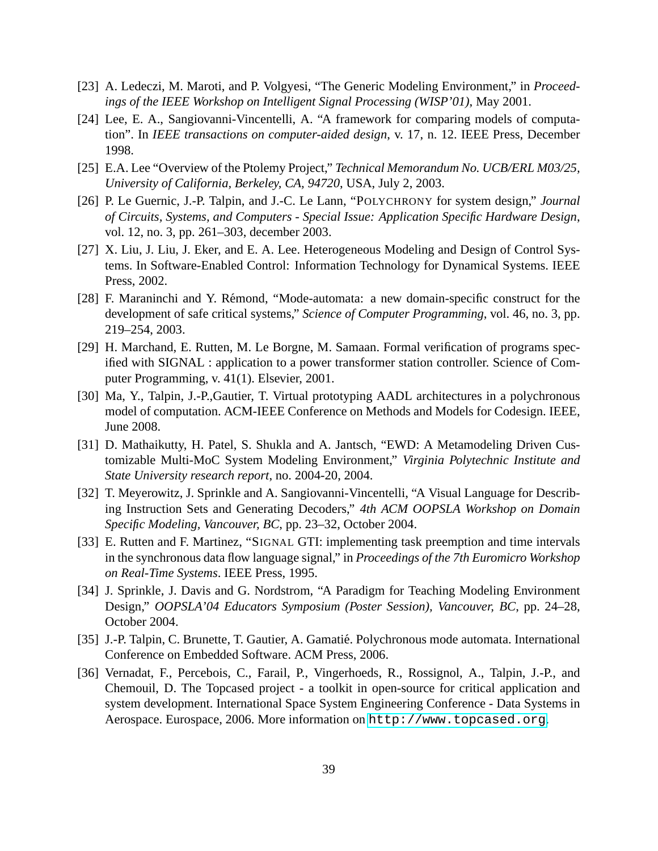- <span id="page-38-2"></span>[23] A. Ledeczi, M. Maroti, and P. Volgyesi, "The Generic Modeling Environment," in *Proceedings of the IEEE Workshop on Intelligent Signal Processing (WISP'01)*, May 2001.
- [24] Lee, E. A., Sangiovanni-Vincentelli, A. "A framework for comparing models of computation". In *IEEE transactions on computer-aided design*, v. 17, n. 12. IEEE Press, December 1998.
- <span id="page-38-3"></span>[25] E.A. Lee "Overview of the Ptolemy Project," *Technical Memorandum No. UCB/ERL M03/25, University of California, Berkeley, CA, 94720*, USA, July 2, 2003.
- <span id="page-38-0"></span>[26] P. Le Guernic, J.-P. Talpin, and J.-C. Le Lann, "POLYCHRONY for system design," *Journal of Circuits, Systems, and Computers - Special Issue: Application Specific Hardware Design*, vol. 12, no. 3, pp. 261–303, december 2003.
- <span id="page-38-5"></span>[27] X. Liu, J. Liu, J. Eker, and E. A. Lee. Heterogeneous Modeling and Design of Control Systems. In Software-Enabled Control: Information Technology for Dynamical Systems. IEEE Press, 2002.
- <span id="page-38-4"></span>[28] F. Maraninchi and Y. Remond, "Mode-automata: a new domain-specific construct for the ´ development of safe critical systems," *Science of Computer Programming*, vol. 46, no. 3, pp. 219–254, 2003.
- <span id="page-38-1"></span>[29] H. Marchand, E. Rutten, M. Le Borgne, M. Samaan. Formal verification of programs specified with SIGNAL : application to a power transformer station controller. Science of Computer Programming, v. 41(1). Elsevier, 2001.
- <span id="page-38-12"></span>[30] Ma, Y., Talpin, J.-P.,Gautier, T. Virtual prototyping AADL architectures in a polychronous model of computation. ACM-IEEE Conference on Methods and Models for Codesign. IEEE, June 2008.
- <span id="page-38-10"></span>[31] D. Mathaikutty, H. Patel, S. Shukla and A. Jantsch, "EWD: A Metamodeling Driven Customizable Multi-MoC System Modeling Environment," *Virginia Polytechnic Institute and State University research report*, no. 2004-20, 2004.
- <span id="page-38-9"></span>[32] T. Meyerowitz, J. Sprinkle and A. Sangiovanni-Vincentelli, "A Visual Language for Describing Instruction Sets and Generating Decoders," *4th ACM OOPSLA Workshop on Domain Specific Modeling, Vancouver, BC*, pp. 23–32, October 2004.
- <span id="page-38-8"></span>[33] E. Rutten and F. Martinez, "SIGNAL GTI: implementing task preemption and time intervals in the synchronous data flow language signal," in *Proceedings of the 7th Euromicro Workshop on Real-Time Systems*. IEEE Press, 1995.
- <span id="page-38-11"></span>[34] J. Sprinkle, J. Davis and G. Nordstrom, "A Paradigm for Teaching Modeling Environment Design," *OOPSLA'04 Educators Symposium (Poster Session), Vancouver, BC*, pp. 24–28, October 2004.
- <span id="page-38-6"></span>[35] J.-P. Talpin, C. Brunette, T. Gautier, A. Gamatie. Polychronous mode automata. International ´ Conference on Embedded Software. ACM Press, 2006.
- <span id="page-38-7"></span>[36] Vernadat, F., Percebois, C., Farail, P., Vingerhoeds, R., Rossignol, A., Talpin, J.-P., and Chemouil, D. The Topcased project - a toolkit in open-source for critical application and system development. International Space System Engineering Conference - Data Systems in Aerospace. Eurospace, 2006. More information on <http://www.topcased.org>.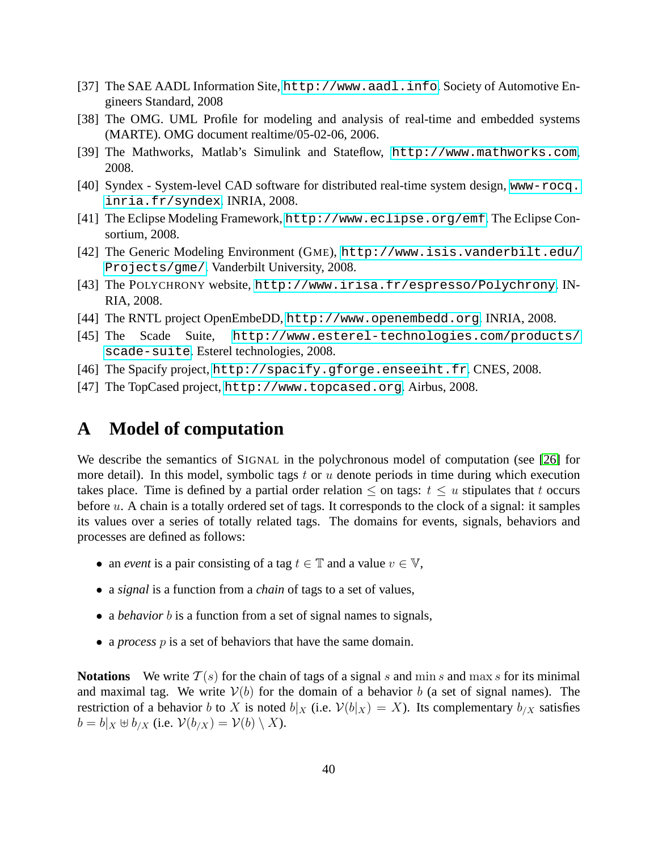- <span id="page-39-7"></span>[37] The SAE AADL Information Site, <http://www.aadl.info>. Society of Automotive Engineers Standard, 2008
- <span id="page-39-6"></span>[38] The OMG. UML Profile for modeling and analysis of real-time and embedded systems (MARTE). OMG document realtime/05-02-06, 2006.
- <span id="page-39-2"></span>[39] The Mathworks, Matlab's Simulink and Stateflow, <http://www.mathworks.com>, 2008.
- <span id="page-39-9"></span>[40] Syndex - System-level CAD software for distributed real-time system design, [www-rocq.](www-rocq.inria.fr/syndex) [inria.fr/syndex](www-rocq.inria.fr/syndex). INRIA, 2008.
- <span id="page-39-5"></span>[41] The Eclipse Modeling Framework, <http://www.eclipse.org/emf>. The Eclipse Consortium, 2008.
- <span id="page-39-0"></span>[42] The Generic Modeling Environment (GME), [http://www.isis.vanderbilt.edu/](http://www.isis.vanderbilt.edu/Projects/gme/) [Projects/gme/](http://www.isis.vanderbilt.edu/Projects/gme/). Vanderbilt University, 2008.
- <span id="page-39-1"></span>[43] The POLYCHRONY website, <http://www.irisa.fr/espresso/Polychrony>. IN-RIA, 2008.
- <span id="page-39-4"></span>[44] The RNTL project OpenEmbeDD, <http://www.openembedd.org>. INRIA, 2008.
- <span id="page-39-3"></span>[45] The Scade Suite, [http://www.esterel-technologies.com/products/](http://www.esterel-technologies.com/products/scade-suite) [scade-suite](http://www.esterel-technologies.com/products/scade-suite). Esterel technologies, 2008.
- <span id="page-39-8"></span>[46] The Spacify project, <http://spacify.gforge.enseeiht.fr>. CNES, 2008.
- <span id="page-39-10"></span>[47] The TopCased project, <http://www.topcased.org>. Airbus, 2008.

## **A Model of computation**

We describe the semantics of SIGNAL in the polychronous model of computation (see [\[26\]](#page-38-0) for more detail). In this model, symbolic tags t or u denote periods in time during which execution takes place. Time is defined by a partial order relation  $\leq$  on tags:  $t \leq u$  stipulates that t occurs before  $u$ . A chain is a totally ordered set of tags. It corresponds to the clock of a signal: it samples its values over a series of totally related tags. The domains for events, signals, behaviors and processes are defined as follows:

- an *event* is a pair consisting of a tag  $t \in \mathbb{T}$  and a value  $v \in \mathbb{V}$ ,
- a *signal* is a function from a *chain* of tags to a set of values,
- a *behavior b* is a function from a set of signal names to signals,
- a *process* p is a set of behaviors that have the same domain.

**Notations** We write  $T(s)$  for the chain of tags of a signal s and min s and max s for its minimal and maximal tag. We write  $V(b)$  for the domain of a behavior b (a set of signal names). The restriction of a behavior b to X is noted  $b|_X$  (i.e.  $V(b|_X) = X$ ). Its complementary  $b_{/X}$  satisfies  $b = b|_X \oplus b_{X}$  (i.e.  $\mathcal{V}(b_{X}) = \mathcal{V}(b) \setminus X$ ).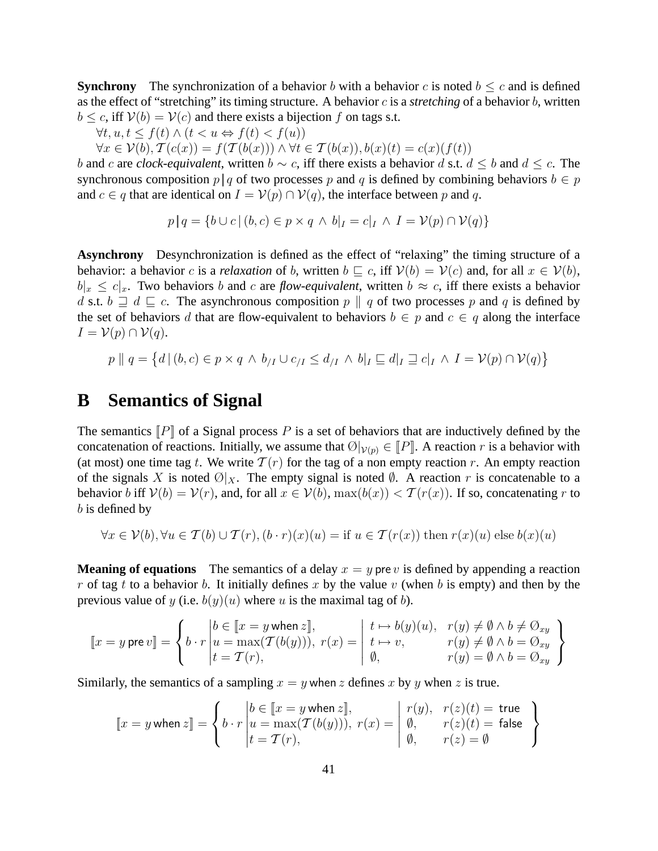**Synchrony** The synchronization of a behavior b with a behavior c is noted  $b \leq c$  and is defined as the effect of "stretching" its timing structure. A behavior c is a *stretching* of a behavior b, written  $b \leq c$ , iff  $V(b) = V(c)$  and there exists a bijection f on tags s.t.

$$
\forall t, u, t \le f(t) \land (t < u \Leftrightarrow f(t) < f(u))
$$

 $\forall x \in \mathcal{V}(b), \mathcal{T}(c(x)) = f(\mathcal{T}(b(x))) \land \forall t \in \mathcal{T}(b(x)), b(x)(t) = c(x)(f(t))$ 

*b* and *c* are *clock-equivalent*, written *b* ∼ *c*, iff there exists a behavior *d* s.t. *d* ≤ *b* and *d* ≤ *c*. The synchronous composition  $p | q$  of two processes p and q is defined by combining behaviors  $b \in p$ and  $c \in q$  that are identical on  $I = V(p) \cap V(q)$ , the interface between p and q.

$$
p \mid q = \{ b \cup c \mid (b, c) \in p \times q \land b \mid_I = c \mid_I \land I = \mathcal{V}(p) \cap \mathcal{V}(q) \}
$$

**Asynchrony** Desynchronization is defined as the effect of "relaxing" the timing structure of a behavior: a behavior c is a *relaxation* of b, written  $b \sqsubseteq c$ , if  $\mathcal{V}(b) = \mathcal{V}(c)$  and, for all  $x \in \mathcal{V}(b)$ ,  $|b|_x \leq c|_x$ . Two behaviors b and c are *flow-equivalent*, written  $b \approx c$ , iff there exists a behavior d s.t.  $b \supset d \sqsubset c$ . The asynchronous composition p || q of two processes p and q is defined by the set of behaviors d that are flow-equivalent to behaviors  $b \in p$  and  $c \in q$  along the interface  $I = \mathcal{V}(p) \cap \mathcal{V}(q)$ .

$$
p \parallel q = \{d \mid (b, c) \in p \times q \land b_{\textit{II}} \cup c_{\textit{II}} \leq d_{\textit{II}} \land b_{\textit{II}} \sqsubseteq d_{\textit{II}} \supseteq c_{\textit{II}} \land I = \mathcal{V}(p) \cap \mathcal{V}(q)\}
$$

# **B Semantics of Signal**

The semantics  $\llbracket P \rrbracket$  of a Signal process P is a set of behaviors that are inductively defined by the concatenation of reactions. Initially, we assume that  $\emptyset|_{V(p)} \in [P]$ . A reaction r is a behavior with (at most) one time tag t. We write  $T(r)$  for the tag of a non empty reaction r. An empty reaction of the signals X is noted  $\mathcal{O}|_X$ . The empty signal is noted  $\emptyset$ . A reaction r is concatenable to a behavior b iff  $V(b) = V(r)$ , and, for all  $x \in V(b)$ ,  $\max(b(x)) < T(r(x))$ . If so, concatenating r to b is defined by

$$
\forall x \in V(b), \forall u \in \mathcal{T}(b) \cup \mathcal{T}(r), (b \cdot r)(x)(u) = \text{if } u \in \mathcal{T}(r(x)) \text{ then } r(x)(u) \text{ else } b(x)(u)
$$

**Meaning of equations** The semantics of a delay  $x = y$  pre v is defined by appending a reaction r of tag t to a behavior b. It initially defines x by the value v (when b is empty) and then by the previous value of y (i.e.  $b(y)(u)$  where u is the maximal tag of b).

$$
\llbracket x = y \text{ pre } v \rrbracket = \left\{ b \cdot r \middle| \begin{aligned} b \in \llbracket x = y \text{ when } z \rrbracket, \\ u = \max(T(b(y))), \\ t = T(r), \end{aligned} \right. r(x) = \left\{ \begin{aligned} t \mapsto b(y)(u), & r(y) \neq \emptyset \land b \neq \emptyset_{xy} \\ t \mapsto v, & r(y) \neq \emptyset \land b = \emptyset_{xy} \\ \emptyset, & r(y) = \emptyset \land b = \emptyset_{xy} \end{aligned} \right\}
$$

Similarly, the semantics of a sampling  $x = y$  when z defines x by y when z is true.

$$
\llbracket x = y \text{ when } z \rrbracket = \left\{ b \cdot r \middle| \begin{aligned} b \in \llbracket x = y \text{ when } z \rrbracket, \\ u = \max(T(b(y))), \\ t = T(r), \end{aligned} \right. \quad r(x) = \left\{ \begin{aligned} r(y), & r(z)(t) = \text{true} \\ \emptyset, & r(z)(t) = \text{false} \\ \emptyset, & r(z) = \emptyset \end{aligned} \right\}
$$